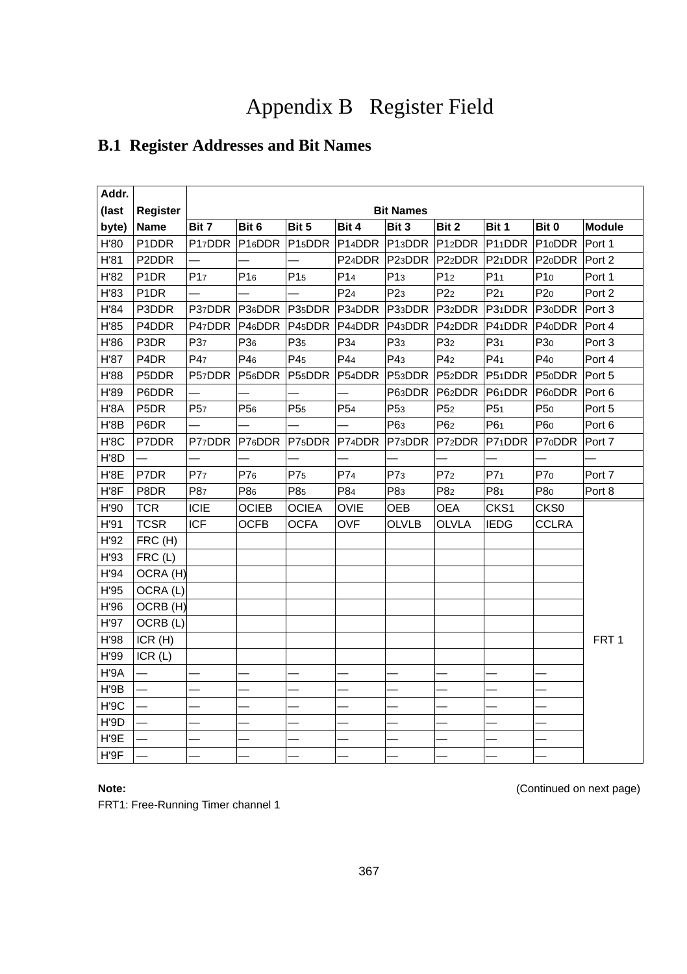# Appendix B Register Field

# **B.1 Register Addresses and Bit Names**

| Addr. |                               |                     |                     |                     |                     |                     |                             |                 |                     |                   |
|-------|-------------------------------|---------------------|---------------------|---------------------|---------------------|---------------------|-----------------------------|-----------------|---------------------|-------------------|
| (last | <b>Register</b>               |                     |                     |                     |                     | <b>Bit Names</b>    |                             |                 |                     |                   |
| byte) | Name                          | Bit 7               | Bit 6               | Bit 5               | Bit 4               | Bit 3               | Bit 2                       | Bit 1           | Bit 0               | <b>Module</b>     |
| H'80  | P1DDR                         | P <sub>17</sub> DDR | P <sub>16</sub> DDR | P <sub>15</sub> DDR |                     |                     | P14DDR P13DDR P12DDR P11DDR |                 | P10DDR Port 1       |                   |
| H'81  | P2DDR                         |                     |                     |                     | P24DDR              | P <sub>23</sub> DDR | P22DDR P21DDR               |                 | P <sub>20</sub> DDR | Port 2            |
| H'82  | P <sub>1</sub> D <sub>R</sub> | P <sub>17</sub>     | P <sub>16</sub>     | P <sub>15</sub>     | P <sub>14</sub>     | P13                 | P12                         | P11             | P10                 | Port 1            |
| H'83  | P <sub>1</sub> D <sub>R</sub> |                     |                     |                     | P <sub>24</sub>     | P <sub>23</sub>     | P22                         | P21             | P20                 | Port <sub>2</sub> |
| H'84  | P3DDR                         | P37DDR              | P36DDR P35DDR       |                     | P34DDR              |                     | P33DDR P32DDR P31DDR        |                 | P <sub>30</sub> DDR | Port 3            |
| H'85  | P4DDR                         | P47DDR              | P46DDR P45DDR       |                     | P44DDR              | P43DDR              | P <sub>42</sub> DDR         | P41DDR          | P <sub>40</sub> DDR | Port 4            |
| H'86  | P3DR                          | P37                 | P <sub>36</sub>     | P <sub>35</sub>     | P34                 | P <sub>33</sub>     | P <sub>32</sub>             | P31             | P <sub>30</sub>     | Port 3            |
| H'87  | P <sub>4</sub> D <sub>R</sub> | P47                 | P46                 | P45                 | P44                 | P43                 | P4 <sub>2</sub>             | P4 <sub>1</sub> | P40                 | Port 4            |
| H'88  | P5DDR                         | P57DDR              | P56DDR P55DDR       |                     |                     |                     | P54DDR P53DDR P52DDR P51DDR |                 | P50DDR Port 5       |                   |
| H'89  | P6DDR                         |                     |                     |                     |                     | P63DDR              | P62DDR                      | P61DDR          | P60DDR              | Port 6            |
| H'8A  | P <sub>5</sub> D <sub>R</sub> | P <sub>57</sub>     | P <sub>56</sub>     | P <sub>55</sub>     | P <sub>54</sub>     | P <sub>53</sub>     | P <sub>52</sub>             | P <sub>51</sub> | P <sub>50</sub>     | Port 5            |
| H'8B  | P6DR                          |                     |                     |                     |                     | P63                 | P62                         | P61             | P60                 | Port 6            |
| H'8C  | P7DDR                         | P77DDR              | P76DDR P75DDR       |                     | P7 <sub>4</sub> DDR | P73DDR              | P72DDR                      | P71DDR          | P70DDR              | Port 7            |
| H'8D  |                               |                     |                     |                     |                     |                     |                             |                 |                     |                   |
| H'8E  | P7DR                          | P77                 | P76                 | P7 <sub>5</sub>     | P74                 | P7 <sub>3</sub>     | P7 <sub>2</sub>             | P7 <sub>1</sub> | P70                 | Port 7            |
| H'8F  | P8DR                          | P87                 | P86                 | P85                 | P84                 | P83                 | P82                         | P81             | P80                 | Port 8            |
| H'90  | <b>TCR</b>                    | ICIE                | <b>OCIEB</b>        | <b>OCIEA</b>        | <b>OVIE</b>         | OEB                 | <b>OEA</b>                  | CKS1            | CKS0                |                   |
| H'91  | <b>TCSR</b>                   | <b>ICF</b>          | <b>OCFB</b>         | <b>OCFA</b>         | <b>OVF</b>          | <b>OLVLB</b>        | <b>OLVLA</b>                | <b>IEDG</b>     | CCLRA               |                   |
| H'92  | FRC (H)                       |                     |                     |                     |                     |                     |                             |                 |                     |                   |
| H'93  | FRC(L)                        |                     |                     |                     |                     |                     |                             |                 |                     |                   |
| H'94  | OCRA (H)                      |                     |                     |                     |                     |                     |                             |                 |                     |                   |
| H'95  | OCRA (L)                      |                     |                     |                     |                     |                     |                             |                 |                     |                   |
| H'96  | OCRB (H)                      |                     |                     |                     |                     |                     |                             |                 |                     |                   |
| H'97  | OCRB (L)                      |                     |                     |                     |                     |                     |                             |                 |                     |                   |
| H'98  | ICR(H)                        |                     |                     |                     |                     |                     |                             |                 |                     | FRT <sub>1</sub>  |
| H'99  | ICR(L)                        |                     |                     |                     |                     |                     |                             |                 |                     |                   |
| H'9A  |                               |                     |                     |                     |                     |                     |                             |                 |                     |                   |
| H'9B  | $\equiv$                      |                     |                     |                     |                     |                     |                             |                 |                     |                   |
| H'9C  |                               |                     |                     |                     |                     |                     |                             |                 |                     |                   |
| H'9D  |                               |                     |                     |                     |                     |                     |                             |                 |                     |                   |
| H'9E  |                               |                     |                     |                     |                     |                     |                             |                 |                     |                   |
| H'9F  |                               |                     |                     |                     |                     |                     |                             |                 |                     |                   |

**Note:** (Continued on next page) **Note:** (Continued on next page)

FRT1: Free-Running Timer channel 1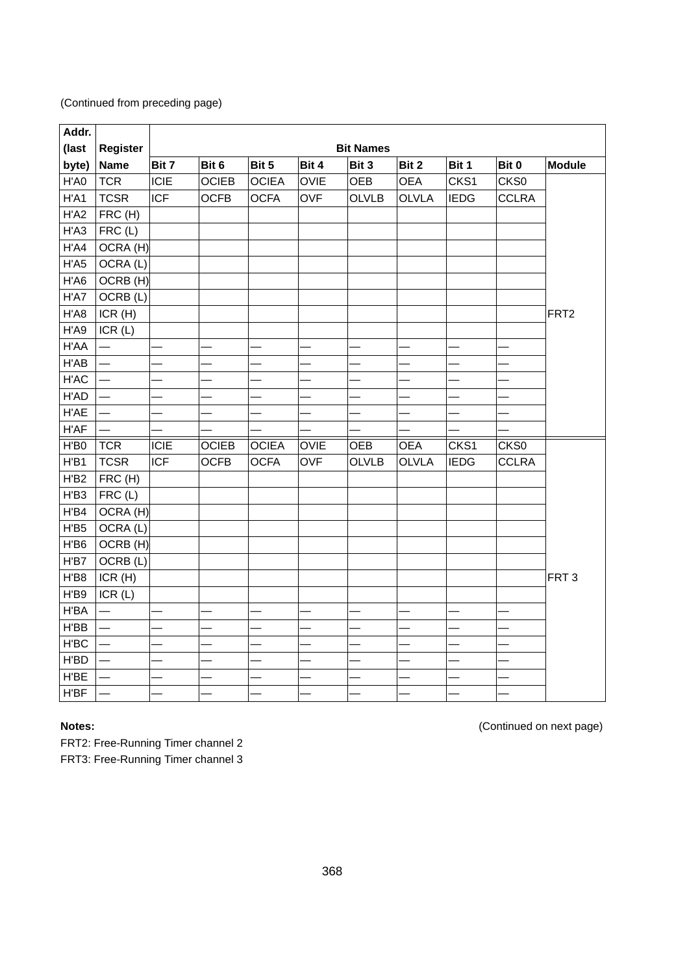| Addr. |                          |            |              |              |             |                  |              |             |              |                  |
|-------|--------------------------|------------|--------------|--------------|-------------|------------------|--------------|-------------|--------------|------------------|
| (last | Register                 |            |              |              |             | <b>Bit Names</b> |              |             |              |                  |
| byte) | <b>Name</b>              | Bit 7      | Bit 6        | Bit 5        | Bit 4       | Bit 3            | Bit 2        | Bit 1       | Bit 0        | <b>Module</b>    |
| H'A0  | <b>TCR</b>               | ICIE       | <b>OCIEB</b> | <b>OCIEA</b> | <b>OVIE</b> | OEB              | <b>OEA</b>   | CKS1        | CKS0         |                  |
| H'A1  | <b>TCSR</b>              | <b>ICF</b> | <b>OCFB</b>  | <b>OCFA</b>  | <b>OVF</b>  | <b>OLVLB</b>     | <b>OLVLA</b> | <b>IEDG</b> | <b>CCLRA</b> |                  |
| H'AD  | FRC (H)                  |            |              |              |             |                  |              |             |              |                  |
| H'AA  | FRC(L)                   |            |              |              |             |                  |              |             |              |                  |
| H'AA  | OCRA (H)                 |            |              |              |             |                  |              |             |              |                  |
| H'AS  | OCRA (L)                 |            |              |              |             |                  |              |             |              |                  |
| H'A6  | OCRB (H)                 |            |              |              |             |                  |              |             |              |                  |
| H'A7  | OCRB (L)                 |            |              |              |             |                  |              |             |              |                  |
| H'A8  | ICR(H)                   |            |              |              |             |                  |              |             |              | FRT <sub>2</sub> |
| H'A9  | ICR(L)                   |            |              |              |             |                  |              |             |              |                  |
| H'AA  | $\overline{\phantom{0}}$ |            |              |              |             |                  |              |             |              |                  |
| H'AB  | $\equiv$                 |            |              |              |             |                  |              |             |              |                  |
| H'AC  |                          |            |              |              |             |                  |              |             |              |                  |
| H'AD  |                          |            |              |              |             |                  |              |             |              |                  |
| H'AE  | $\equiv$                 |            |              |              |             |                  |              |             |              |                  |
| H'AF  |                          |            |              |              |             |                  |              |             |              |                  |
| H'BO  | <b>TCR</b>               | ICIE       | <b>OCIEB</b> | <b>OCIEA</b> | OVIE        | OEB              | <b>OEA</b>   | CKS1        | CKS0         |                  |
| H'B1  | <b>TCSR</b>              | <b>ICF</b> | <b>OCFB</b>  | <b>OCFA</b>  | <b>OVF</b>  | <b>OLVLB</b>     | <b>OLVLA</b> | <b>IEDG</b> | <b>CCLRA</b> |                  |
| H'B2  | FRC (H)                  |            |              |              |             |                  |              |             |              |                  |
| H'B3  | FRC(L)                   |            |              |              |             |                  |              |             |              |                  |
| H'B4  | OCRA (H)                 |            |              |              |             |                  |              |             |              |                  |
| H'B5  | OCRA (L)                 |            |              |              |             |                  |              |             |              |                  |
| H'B6  | OCRB (H)                 |            |              |              |             |                  |              |             |              |                  |
| H'B7  | OCRB (L)                 |            |              |              |             |                  |              |             |              |                  |
| H'B8  | ICR(H)                   |            |              |              |             |                  |              |             |              | FRT <sub>3</sub> |
| H'B9  | ICR(L)                   |            |              |              |             |                  |              |             |              |                  |
| H'BA  |                          |            |              |              |             |                  |              |             |              |                  |
| H'BB  | $\overline{\phantom{0}}$ |            |              |              |             |                  |              |             |              |                  |
| H'BC  | —                        |            |              |              |             |                  |              |             |              |                  |
| H'BD  | $\overline{\phantom{0}}$ |            |              |              |             |                  |              |             |              |                  |
| H'BE  | $\overline{\phantom{0}}$ |            |              |              |             |                  |              |             |              |                  |
| H'BF  |                          |            |              |              |             |                  |              |             |              |                  |

FRT2: Free-Running Timer channel 2

FRT3: Free-Running Timer channel 3

**Notes:** (Continued on next page)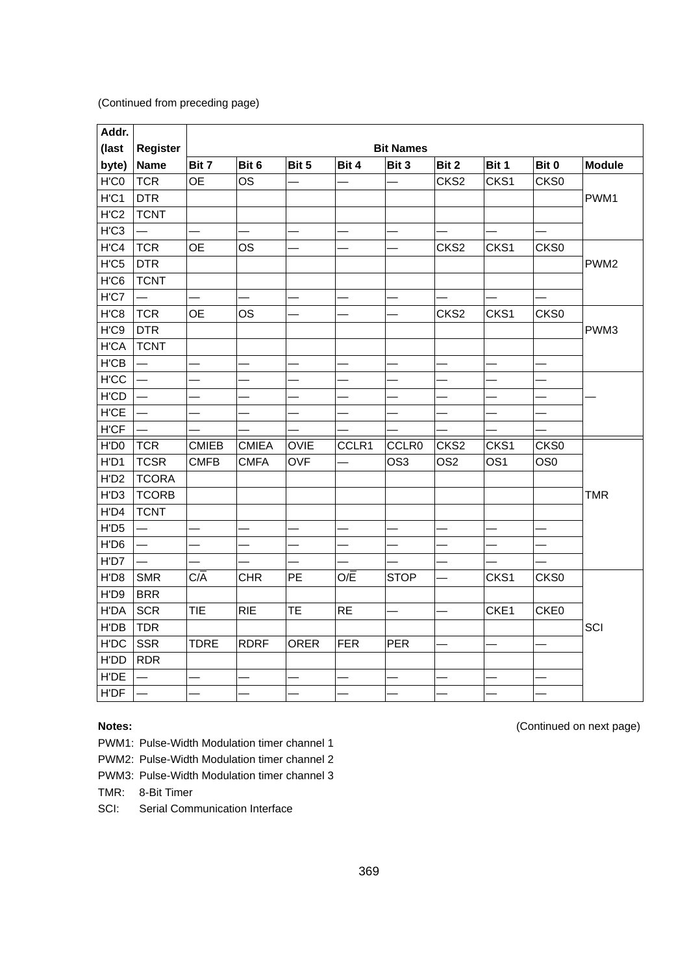| Addr.        |                          |              |              |             |            |                   |                  |                 |                 |                  |
|--------------|--------------------------|--------------|--------------|-------------|------------|-------------------|------------------|-----------------|-----------------|------------------|
| (last        | Register                 |              |              |             |            | <b>Bit Names</b>  |                  |                 |                 |                  |
| byte)        | <b>Name</b>              | Bit 7        | Bit 6        | Bit 5       | Bit 4      | Bit 3             | Bit 2            | Bit 1           | Bit 0           | <b>Module</b>    |
| H'C0         | <b>TCR</b>               | <b>OE</b>    | <b>OS</b>    |             |            |                   | CKS <sub>2</sub> | CKS1            | CKS0            |                  |
| H'C1         | <b>DTR</b>               |              |              |             |            |                   |                  |                 |                 | PWM1             |
| H'C2         | <b>TCNT</b>              |              |              |             |            |                   |                  |                 |                 |                  |
| H'C3         |                          |              |              |             |            |                   |                  |                 |                 |                  |
| H'CA         | <b>TCR</b>               | 0E           | OS           |             |            |                   | CKS <sub>2</sub> | CKS1            | CKS0            |                  |
| $H'$ C5      | <b>DTR</b>               |              |              |             |            |                   |                  |                 |                 | PWM <sub>2</sub> |
| H'C6         | <b>TCNT</b>              |              |              |             |            |                   |                  |                 |                 |                  |
| H'C7         |                          |              |              |             |            |                   |                  |                 |                 |                  |
| H'C8         | <b>TCR</b>               | <b>OE</b>    | OS           |             |            |                   | CKS <sub>2</sub> | CKS1            | CKS0            |                  |
| H'C9         | <b>DTR</b>               |              |              |             |            |                   |                  |                 |                 | PWM3             |
| <b>H'CA</b>  | <b>TCNT</b>              |              |              |             |            |                   |                  |                 |                 |                  |
| H'CB         |                          |              |              |             |            |                   |                  |                 |                 |                  |
| <b>H</b> ICC | —                        |              |              |             |            |                   |                  |                 |                 |                  |
| <b>H'CD</b>  |                          |              |              |             |            |                   |                  |                 |                 |                  |
| <b>H'CE</b>  | —                        |              |              |             |            |                   |                  |                 |                 |                  |
| <b>H'CF</b>  | $\overline{\phantom{0}}$ |              |              |             |            |                   |                  |                 |                 |                  |
| H'D0         | <b>TCR</b>               | <b>CMIEB</b> | <b>CMIEA</b> | <b>OVIE</b> | CCLR1      | CCLR <sub>0</sub> | CKS <sub>2</sub> | CKS1            | CKS0            |                  |
| H'D1         | <b>TCSR</b>              | <b>CMFB</b>  | <b>CMFA</b>  | <b>OVF</b>  |            | OS <sub>3</sub>   | OS <sub>2</sub>  | OS <sub>1</sub> | OS <sub>0</sub> |                  |
| H'D2         | <b>TCORA</b>             |              |              |             |            |                   |                  |                 |                 |                  |
| H'D3         | <b>TCORB</b>             |              |              |             |            |                   |                  |                 |                 | <b>TMR</b>       |
| H'D4         | <b>TCNT</b>              |              |              |             |            |                   |                  |                 |                 |                  |
| H'D5         | $\overline{\phantom{0}}$ |              |              |             |            |                   |                  |                 |                 |                  |
| H'D6         | $\overline{\phantom{0}}$ |              |              |             |            |                   |                  |                 |                 |                  |
| H'D7         | $\overline{\phantom{0}}$ |              |              |             |            |                   |                  |                 |                 |                  |
| H'D8         | <b>SMR</b>               | C/A          | <b>CHR</b>   | PE          | O/E        | <b>STOP</b>       |                  | CKS1            | CKS0            |                  |
| H'D9         | <b>BRR</b>               |              |              |             |            |                   |                  |                 |                 |                  |
| <b>H'DA</b>  | <b>SCR</b>               | <b>TIE</b>   | <b>RIE</b>   | <b>TE</b>   | <b>RE</b>  |                   |                  | CKE1            | CKE0            |                  |
| H'DB         | <b>TDR</b>               |              |              |             |            |                   |                  |                 |                 | SCI              |
| H'DC         | <b>SSR</b>               | <b>TDRE</b>  | <b>RDRF</b>  | <b>ORER</b> | <b>FER</b> | <b>PER</b>        |                  |                 |                 |                  |
| H'DD         | <b>RDR</b>               |              |              |             |            |                   |                  |                 |                 |                  |
| H'DE         |                          |              |              |             |            |                   |                  |                 |                 |                  |
| H'DF         |                          |              |              |             |            |                   |                  |                 |                 |                  |

PWM1: Pulse-Width Modulation timer channel 1

PWM2: Pulse-Width Modulation timer channel 2

PWM3: Pulse-Width Modulation timer channel 3

TMR: 8-Bit Timer

SCI: Serial Communication Interface

**Notes:** (Continued on next page)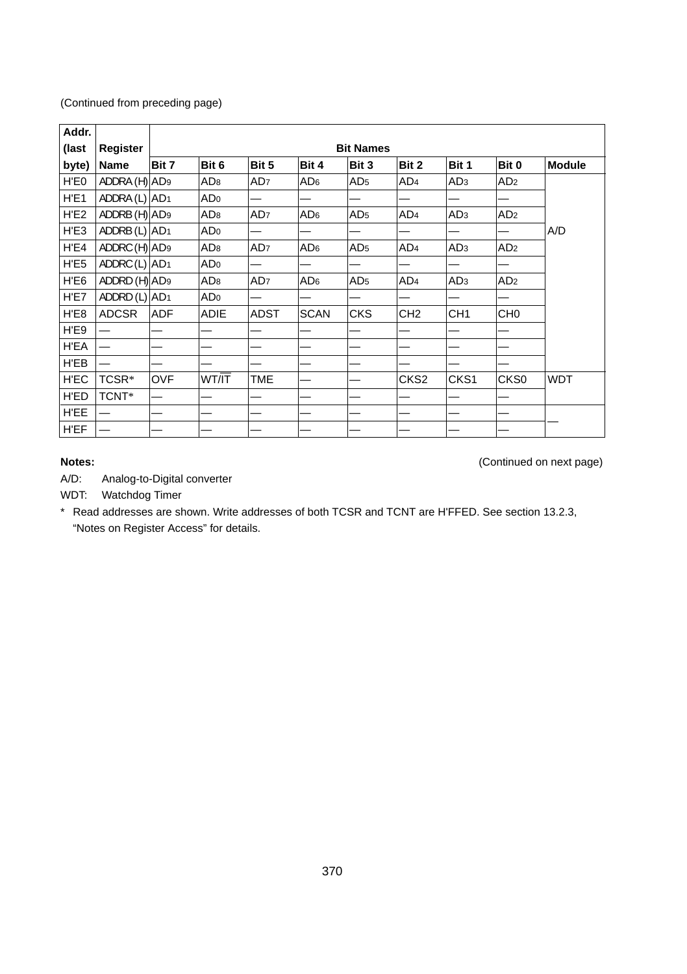| Addr. |                           |            |                 |                 |                 |                  |                  |                 |                  |               |
|-------|---------------------------|------------|-----------------|-----------------|-----------------|------------------|------------------|-----------------|------------------|---------------|
| (last | Register                  |            |                 |                 |                 | <b>Bit Names</b> |                  |                 |                  |               |
| byte) | Name                      | Bit 7      | Bit 6           | Bit 5           | Bit 4           | Bit 3            | Bit 2            | Bit 1           | Bit 0            | <b>Module</b> |
| H'E0  | ADDRA (H) AD <sub>9</sub> |            | AD <sub>8</sub> | AD <sub>7</sub> | AD <sub>6</sub> | AD <sub>5</sub>  | AD <sub>4</sub>  | AD <sub>3</sub> | AD <sub>2</sub>  |               |
| H'E1  | ADDRA $(L)$ $AD1$         |            | AD <sub>0</sub> |                 |                 |                  |                  |                 |                  |               |
| H'E2  | ADDRB (H) AD <sub>9</sub> |            | AD <sub>8</sub> | AD <sub>7</sub> | AD <sub>6</sub> | AD <sub>5</sub>  | AD <sub>4</sub>  | AD <sub>3</sub> | AD <sub>2</sub>  |               |
| H'E3  | ADDRB $(L)$ $AD1$         |            | AD <sub>0</sub> |                 |                 |                  |                  |                 |                  | A/D           |
| H'E4  | ADDRC (H) AD <sub>9</sub> |            | AD <sub>8</sub> | AD <sub>7</sub> | AD <sub>6</sub> | AD <sub>5</sub>  | AD <sub>4</sub>  | AD <sub>3</sub> | AD <sub>2</sub>  |               |
| H'E5  | ADDRC $(L)$ $AD1$         |            | AD <sub>0</sub> |                 |                 |                  |                  |                 |                  |               |
| H'E6  | ADDRD (H) AD <sub>9</sub> |            | AD <sub>8</sub> | AD <sub>7</sub> | AD <sub>6</sub> | AD <sub>5</sub>  | AD <sub>4</sub>  | AD <sub>3</sub> | AD <sub>2</sub>  |               |
| H'E7  | ADDRD $(L)$ AD1           |            | ADo             |                 |                 |                  |                  |                 |                  |               |
| H'E8  | <b>ADCSR</b>              | <b>ADF</b> | ADIE            | <b>ADST</b>     | <b>SCAN</b>     | <b>CKS</b>       | CH <sub>2</sub>  | CH <sub>1</sub> | CH <sub>0</sub>  |               |
| H'E9  |                           |            |                 |                 |                 |                  |                  |                 |                  |               |
| H'EA  |                           |            |                 |                 |                 |                  |                  |                 |                  |               |
| H'EB  |                           |            |                 |                 |                 |                  |                  |                 |                  |               |
| H'EC  | TCSR*                     | OVF        | WT/IT           | TME             |                 |                  | CKS <sub>2</sub> | CKS1            | CKS <sub>0</sub> | <b>WDT</b>    |
| H'ED  | TCNT*                     |            |                 |                 |                 |                  |                  |                 |                  |               |
| H'EE  |                           |            |                 |                 |                 |                  |                  |                 |                  |               |
| H'EF  |                           |            |                 |                 |                 |                  |                  |                 |                  |               |

**Notes:** (Continued on next page)

A/D: Analog-to-Digital converter

WDT: Watchdog Timer

\* Read addresses are shown. Write addresses of both TCSR and TCNT are H'FFED. See section 13.2.3, "Notes on Register Access" for details.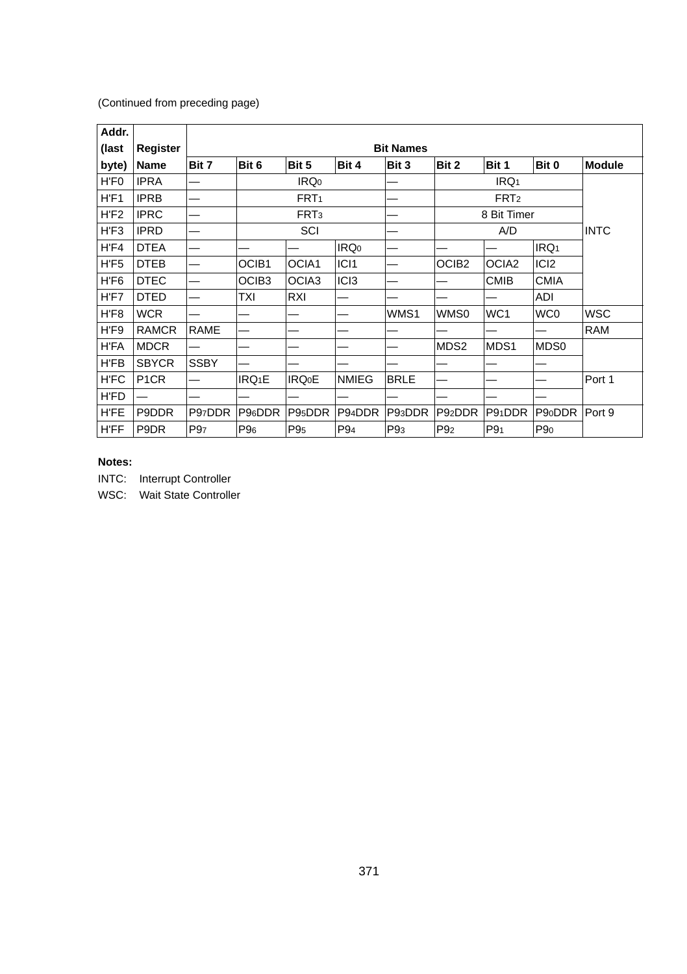| Addr.       |                   |             |                     |                     |                  |                  |                     |                   |                     |               |
|-------------|-------------------|-------------|---------------------|---------------------|------------------|------------------|---------------------|-------------------|---------------------|---------------|
| (last       | Register          |             |                     |                     |                  | <b>Bit Names</b> |                     |                   |                     |               |
| byte)       | Name              | Bit 7       | Bit 6               | Bit 5               | Bit 4            | Bit 3            | Bit 2               | Bit 1             | Bit 0               | <b>Module</b> |
| H'F0        | <b>IPRA</b>       |             |                     | IRQ <sub>0</sub>    |                  |                  |                     | IRQ <sub>1</sub>  |                     |               |
| H'F1        | <b>IPRB</b>       |             |                     | FRT <sub>1</sub>    |                  |                  |                     | FRT <sub>2</sub>  |                     |               |
| H'F2        | <b>IPRC</b>       |             |                     | FRT <sub>3</sub>    |                  |                  |                     | 8 Bit Timer       |                     |               |
| H'F3        | <b>IPRD</b>       |             |                     | SCI                 |                  |                  |                     | A/D               |                     | <b>INTC</b>   |
| H'F4        | <b>DTEA</b>       |             |                     |                     | IRQ <sub>0</sub> |                  |                     |                   | IRQ <sub>1</sub>    |               |
| H'F5        | <b>DTEB</b>       |             | OCIB <sub>1</sub>   | OCIA1               | IC <sub>11</sub> |                  | OCIB <sub>2</sub>   | OCIA <sub>2</sub> | ICI <sub>2</sub>    |               |
| H'F6        | <b>DTEC</b>       |             | OCIB <sub>3</sub>   | OCIA3               | IC <sub>13</sub> |                  |                     | <b>CMIB</b>       | <b>CMIA</b>         |               |
| H'F7        | <b>DTED</b>       |             | TXI                 | RXI                 |                  |                  |                     |                   | ADI                 |               |
| H'F8        | <b>WCR</b>        |             |                     |                     |                  | WMS1             | WMS0                | WC <sub>1</sub>   | WC0                 | <b>WSC</b>    |
| H'F9        | <b>RAMCR</b>      | <b>RAME</b> |                     |                     |                  |                  |                     |                   |                     | <b>RAM</b>    |
| H'FA        | <b>MDCR</b>       |             |                     |                     |                  |                  | MDS2                | MDS1              | MDS0                |               |
| H'FB        | <b>SBYCR</b>      | <b>SSBY</b> |                     |                     |                  |                  |                     |                   |                     |               |
| H'FC        | P <sub>1</sub> CR |             | IRQ <sub>1</sub> E  | <b>IRQ0E</b>        | <b>NMIEG</b>     | <b>BRLE</b>      |                     |                   |                     | Port 1        |
| H'FD        |                   |             |                     |                     |                  |                  |                     |                   |                     |               |
| <b>H'FE</b> | P9DDR             | P97DDR      | P <sub>96</sub> DDR | P9 <sub>5</sub> DDR | P94DDR           | P93DDR           | P <sub>92</sub> DDR | P91DDR            | P <sub>90</sub> DDR | Port 9        |
| <b>H'FF</b> | P9DR              | P97         | P <sub>96</sub>     | P <sub>95</sub>     | P94              | P <sub>93</sub>  | P <sub>92</sub>     | P9 <sub>1</sub>   | P <sub>90</sub>     |               |

# **Notes:**

 $\overline{1}$ 

INTC: Interrupt Controller

WSC: Wait State Controller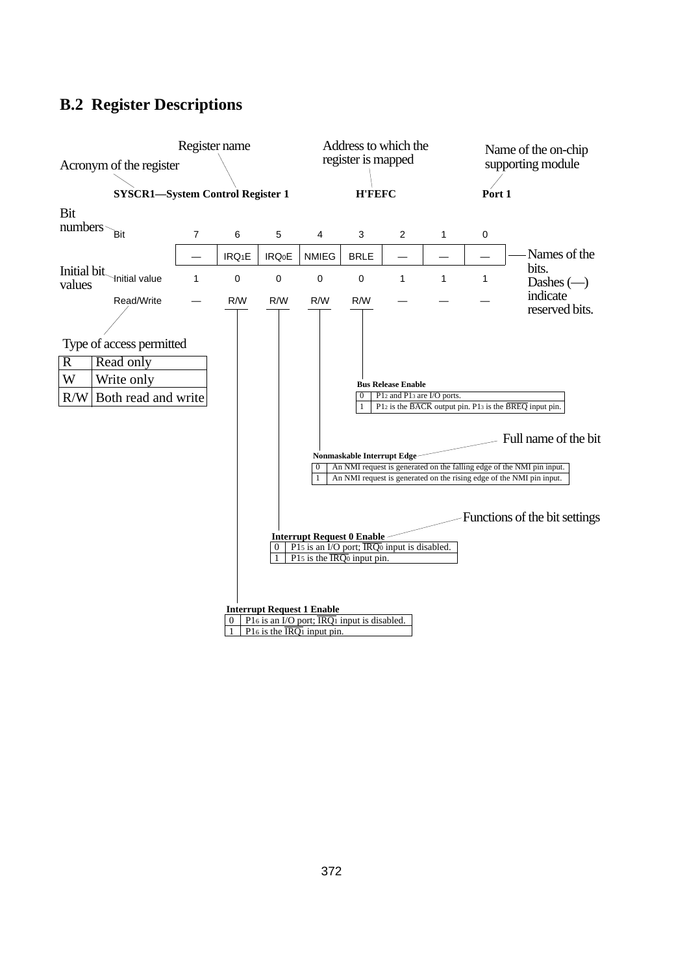# **B.2 Register Descriptions**

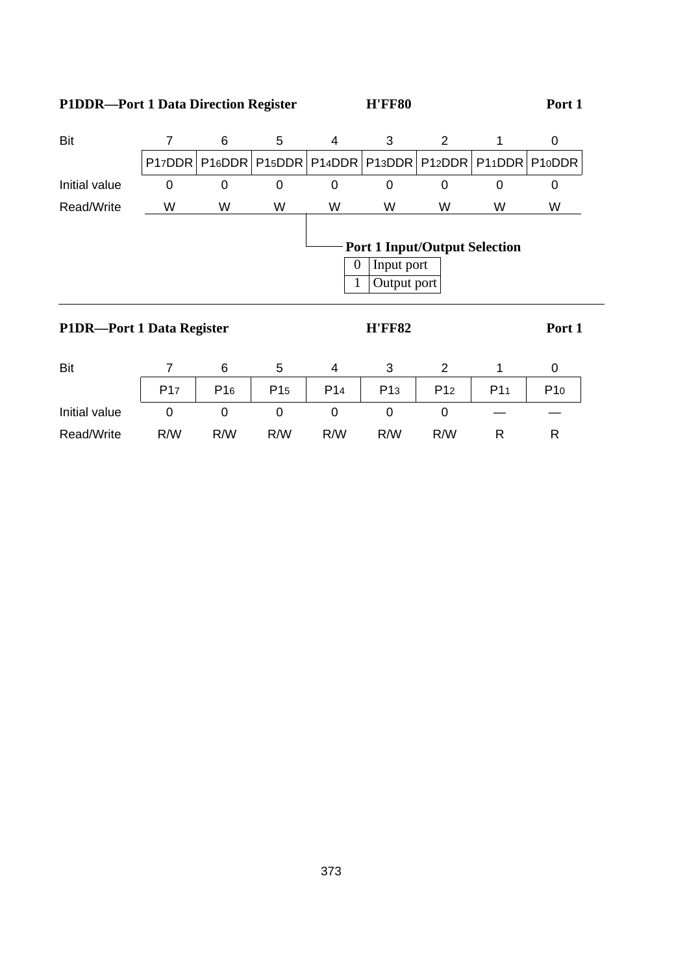# P1DDR—Port 1 Data Direction Register **H'FF80** Port 1

| Bit                       |   | 6 | 5 | 4                                                | 3                         | 2                                    |   | 0                   |
|---------------------------|---|---|---|--------------------------------------------------|---------------------------|--------------------------------------|---|---------------------|
|                           |   |   |   | P17DDR P16DDR P15DDR P14DDR P13DDR P12DDR P11DDR |                           |                                      |   | P <sub>10</sub> DDR |
| Initial value             | 0 | 0 | 0 | 0                                                | 0                         | 0                                    | 0 | 0                   |
| Read/Write                | W | W | W | W                                                | W                         | W                                    | W | W                   |
|                           |   |   |   | $\overline{0}$<br>1                              | Input port<br>Output port | <b>Port 1 Input/Output Selection</b> |   |                     |
| P1DR—Port 1 Data Register |   |   |   |                                                  | <b>H'FF82</b>             |                                      |   | Port 1              |

| Bit           |                 | 6               |                 |                 |                 |                 |                 |     |
|---------------|-----------------|-----------------|-----------------|-----------------|-----------------|-----------------|-----------------|-----|
|               | P <sub>17</sub> | P <sub>16</sub> | P <sub>15</sub> | P <sub>14</sub> | P <sub>13</sub> | P <sub>12</sub> | P <sub>11</sub> | P10 |
| Initial value |                 |                 |                 | U               |                 |                 |                 |     |
| Read/Write    | R/W             | R/W             | R/W             | R/W             | R/W             | R/W             |                 |     |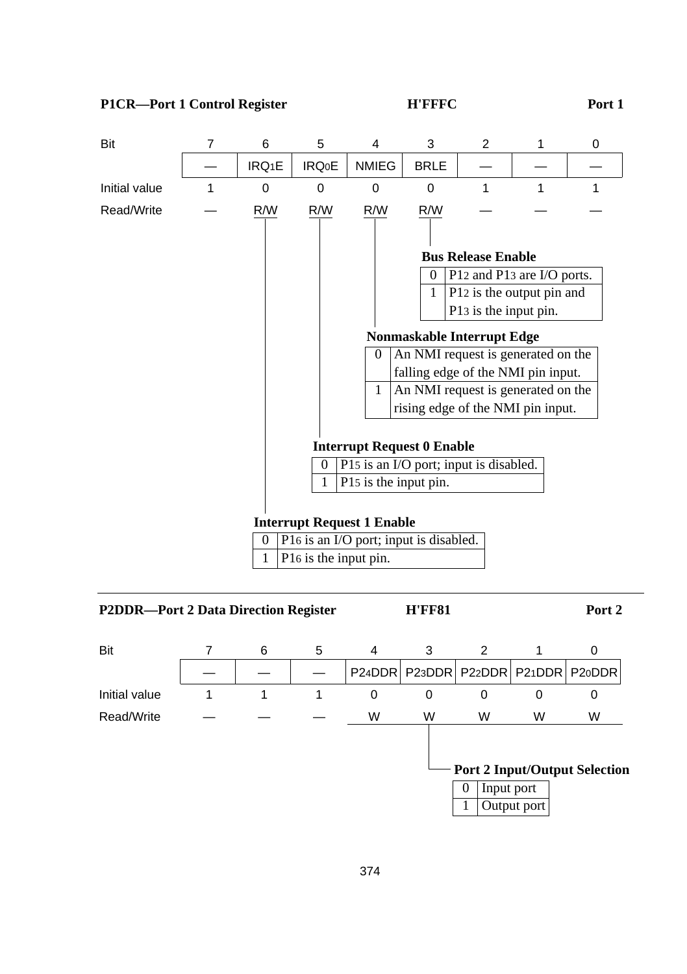

1 P16 is the input pin.

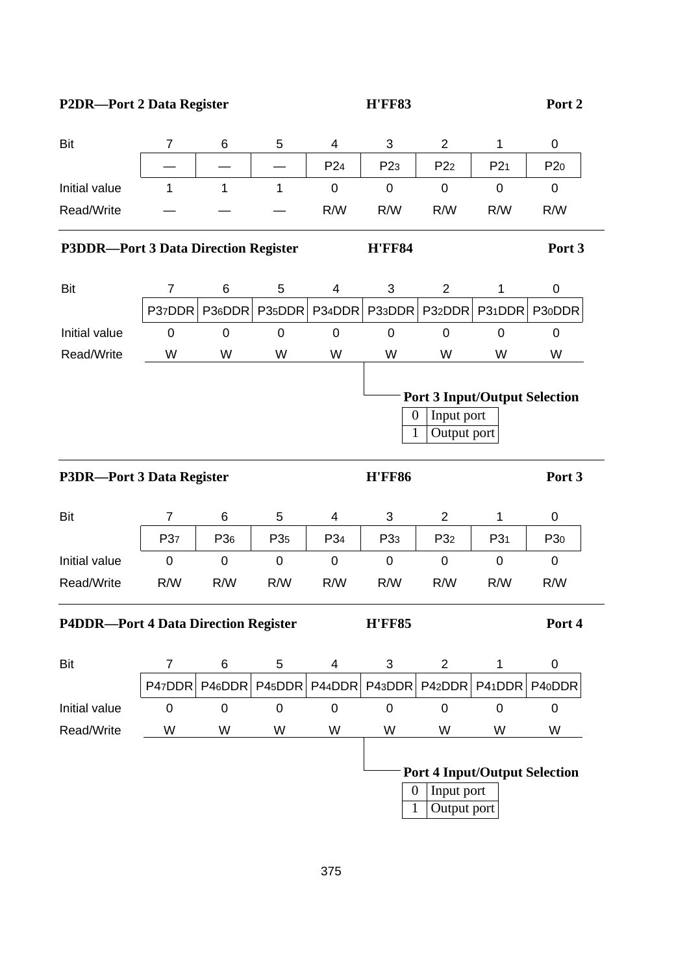# P2DR—Port 2 Data Register **H'FF83** Port 2

| Bit                                         | 7              | 6                   | 5            | 4               | 3               | $\overline{c}$                                                    | $\mathbf{1}$ | 0               |
|---------------------------------------------|----------------|---------------------|--------------|-----------------|-----------------|-------------------------------------------------------------------|--------------|-----------------|
|                                             |                |                     |              | P <sub>24</sub> | P <sub>23</sub> | P <sub>22</sub>                                                   | P21          | P <sub>20</sub> |
| Initial value                               | 1              | $\mathbf{1}$        | $\mathbf{1}$ | 0               | 0               | 0                                                                 | 0            | 0               |
| Read/Write                                  |                |                     |              | R/W             | R/W             | R/W                                                               | R/W          | R/W             |
| <b>P3DDR-Port 3 Data Direction Register</b> |                |                     |              |                 | <b>H'FF84</b>   |                                                                   |              | Port 3          |
| Bit                                         | 7              | 6                   | 5            | 4               | 3               | 2                                                                 | 1            | 0               |
|                                             | P37DDR         | P36DDR              | P35DDR       | P34DDR          | P33DDR          | P32DDR                                                            | P31DDR       | P30DDR          |
| Initial value                               | 0              | 0                   | 0            | 0               | 0               | 0                                                                 | 0            | 0               |
| Read/Write                                  | W              | W                   | W            | W               | W               | W                                                                 | W            | W               |
|                                             |                |                     |              |                 | 0<br>1          | <b>Port 3 Input/Output Selection</b><br>Input port<br>Output port |              |                 |
| P3DR-Port 3 Data Register                   |                |                     |              |                 | <b>H'FF86</b>   |                                                                   |              | Port 3          |
| Bit                                         | $\overline{7}$ | 6                   | 5            | 4               | 3               | 2                                                                 | 1            | 0               |
|                                             | P37            | P36                 | P35          | P34             | P <sub>33</sub> | P <sub>32</sub>                                                   | P31          | P <sub>30</sub> |
| Initial value                               | 0              | $\mathsf{O}\xspace$ | 0            | 0               | 0               | 0                                                                 | 0            | 0               |
| Read/Write                                  | R/W            | R/W                 | R/W          | R/W             | R/W             | R/W                                                               | R/W          | R/W             |
| <b>P4DDR-Port 4 Data Direction Register</b> |                |                     |              |                 | <b>H'FF85</b>   |                                                                   |              | Port 4          |
| Bit                                         | $\overline{7}$ | 6                   | 5            | 4               | 3               | $\overline{c}$                                                    | 1            | 0               |
|                                             | P47DDR         | P46DDR              | P45DDR       | P44DDR          | P43DDR          | P42DDR                                                            | P41DDR       | P40DDR          |
| Initial value                               | $\mathbf 0$    | $\mathbf 0$         | $\mathbf 0$  | $\mathbf 0$     | $\mathbf 0$     | $\mathbf 0$                                                       | $\mathbf 0$  | $\mathbf 0$     |
| Read/Write                                  | W              | W                   | W            | W               | W               | W                                                                 | W            | W               |
|                                             |                |                     |              |                 | 0<br>1          | <b>Port 4 Input/Output Selection</b><br>Input port<br>Output port |              |                 |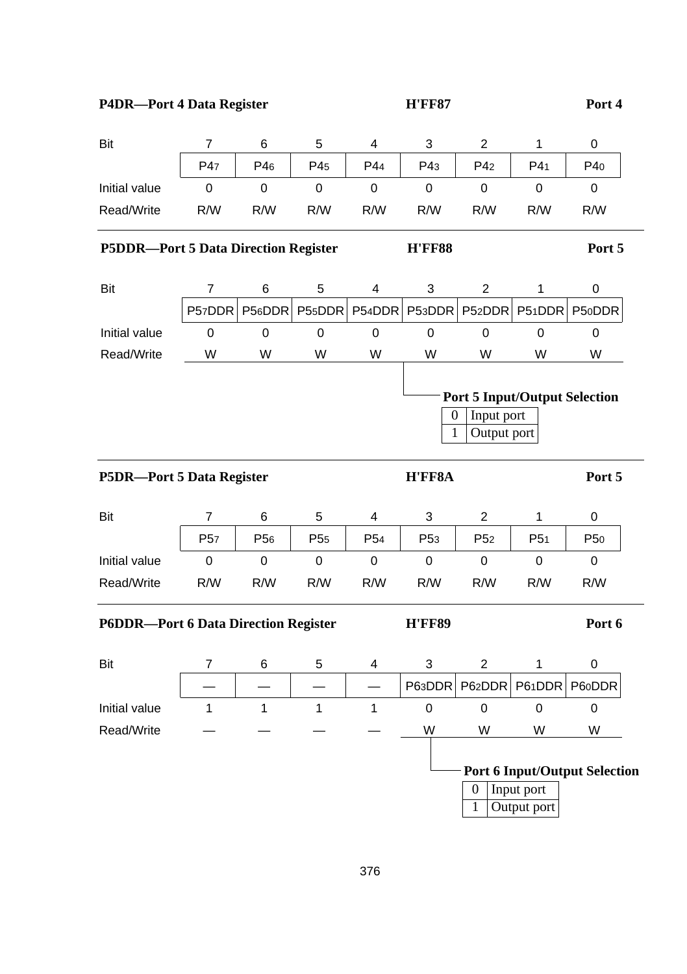| Bit                                         | $\overline{7}$  | 6               | 5               | 4               | 3                         | 2                                                                 | 1                         | 0                                    |
|---------------------------------------------|-----------------|-----------------|-----------------|-----------------|---------------------------|-------------------------------------------------------------------|---------------------------|--------------------------------------|
|                                             | P47             | P46             | P45             | P44             | P43                       | P4 <sub>2</sub>                                                   | P4 <sub>1</sub>           | P40                                  |
| Initial value                               | 0               | 0               | 0               | 0               | 0                         | 0                                                                 | 0                         | 0                                    |
| Read/Write                                  | R/W             | R/W             | R/W             | R/W             | R/W                       | R/W                                                               | R/W                       | R/W                                  |
| <b>P5DDR-Port 5 Data Direction Register</b> |                 |                 |                 |                 | <b>H'FF88</b>             |                                                                   |                           | Port 5                               |
| <b>Bit</b>                                  | 7               | 6               | 5               | 4               | $\ensuremath{\mathsf{3}}$ | $\overline{c}$                                                    | $\mathbf 1$               | 0                                    |
|                                             | P57DDR          | P56DDR          | P55DDR          | P54DDR          | P53DDR                    | P52DDR                                                            | P51DDR                    | P50DDR                               |
| Initial value                               | 0               | $\pmb{0}$       | $\pmb{0}$       | $\,0\,$         | $\mathbf 0$               | 0                                                                 | 0                         | 0                                    |
| Read/Write                                  | W               | W               | W               | W               | W                         | W                                                                 | W                         | W                                    |
|                                             |                 |                 |                 |                 | $\boldsymbol{0}$<br>1     | <b>Port 5 Input/Output Selection</b><br>Input port<br>Output port |                           |                                      |
| P5DR-Port 5 Data Register                   |                 |                 |                 |                 | H'FF8A                    |                                                                   |                           | Port 5                               |
| Bit                                         | $\overline{7}$  | 6               | 5               | 4               | 3                         | $\overline{c}$                                                    | 1                         | 0                                    |
|                                             | P <sub>57</sub> | P <sub>56</sub> | P <sub>55</sub> | P <sub>54</sub> | P <sub>53</sub>           | P <sub>52</sub>                                                   | P <sub>51</sub>           | P <sub>50</sub>                      |
| Initial value                               | $\mathbf 0$     | $\mathbf 0$     | $\mathsf 0$     | $\mathbf 0$     | $\pmb{0}$                 | $\pmb{0}$                                                         | $\mathbf 0$               | $\pmb{0}$                            |
| Read/Write                                  | R/W             | R/W             | R/W             | R/W             | R/W                       | R/W                                                               | R/W                       | R/W                                  |
| <b>P6DDR-Port 6 Data Direction Register</b> |                 |                 |                 |                 | <b>H'FF89</b>             |                                                                   |                           | Port 6                               |
| Bit                                         | 7               | 6               | 5               | 4               | 3                         | $\overline{2}$                                                    | 1                         | 0                                    |
|                                             |                 |                 |                 |                 | P63DDR                    | P62DDR                                                            | P61DDR                    | P60DDR                               |
| Initial value                               | 1               | $\mathbf{1}$    | $\mathbf{1}$    | $\mathbf{1}$    | 0                         | 0                                                                 | 0                         | 0                                    |
| Read/Write                                  |                 |                 |                 |                 | W                         | W                                                                 | W                         | W                                    |
|                                             |                 |                 |                 |                 |                           | 0<br>1                                                            | Input port<br>Output port | <b>Port 6 Input/Output Selection</b> |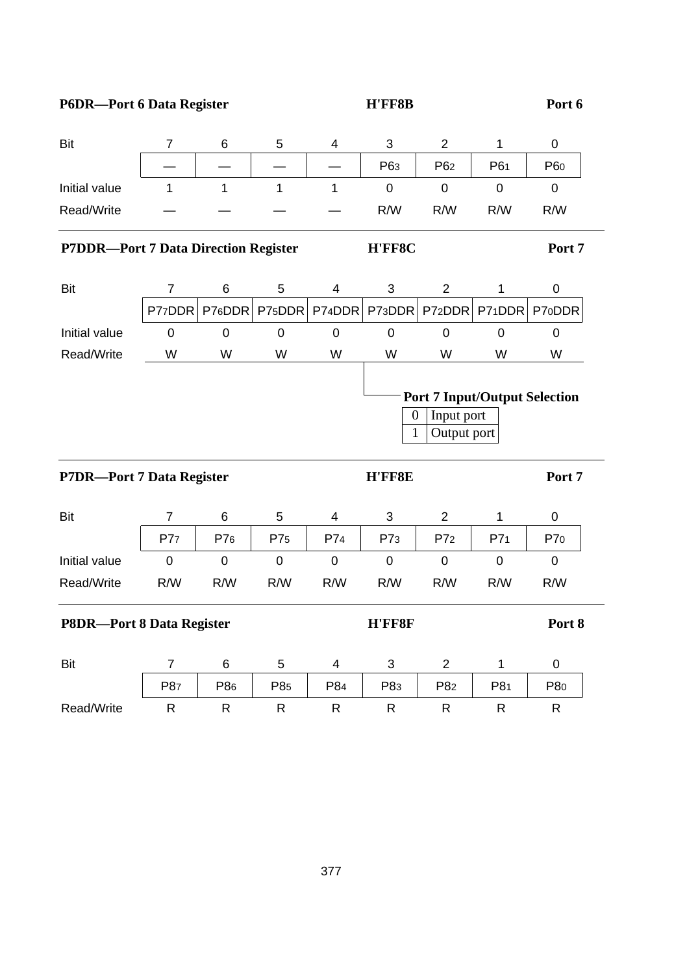# P6DR—Port 6 Data Register **H'FF8B** Port 6

| Bit                                         | $\overline{7}$ | 6            | 5         | 4            | 3           | $\overline{c}$  | 1            | $\,0\,$       |
|---------------------------------------------|----------------|--------------|-----------|--------------|-------------|-----------------|--------------|---------------|
|                                             |                |              |           |              | P63         | P <sub>62</sub> | P61          | P60           |
| Initial value                               | $\mathbf{1}$   | $\mathbf{1}$ | 1         | $\mathbf{1}$ | $\mathbf 0$ | $\mathbf 0$     | $\mathbf 0$  | $\mathbf 0$   |
| Read/Write                                  |                |              |           |              | R/W         | R/W             | R/W          | R/W           |
| <b>P7DDR-Port 7 Data Direction Register</b> |                |              |           |              | H'FF8C      |                 |              | Port 7        |
| Bit                                         | $\overline{7}$ | 6            | 5         | 4            | 3           | $\overline{2}$  | 1            | 0             |
|                                             | P77DDR         | P76DDR       | P75DDR    | P74DDR       | P73DDR      | P72DDR          |              | P71DDR P70DDR |
| Initial value                               | $\mathbf 0$    | $\Omega$     | $\Omega$  | $\mathbf 0$  | $\Omega$    | $\overline{0}$  | $\Omega$     | 0             |
| Read/Write                                  | W              | W            | W         | W            | W           | W               | W            | W             |
|                                             |                |              |           |              |             |                 |              |               |
| P7DR-Port 7 Data Register                   |                |              |           |              | 1<br>H'FF8E | Output port     | Input port   | Port 7        |
| Bit                                         | $\overline{7}$ | 6            | 5         | 4            | 3           | $\overline{c}$  | $\mathbf{1}$ | 0             |
|                                             | P77            | P76          | P75       | P74          | P73         | P7 <sub>2</sub> | P71          | P70           |
| Initial value                               | 0              | $\mathbf 0$  | $\pmb{0}$ | $\mathbf 0$  | $\pmb{0}$   | $\mathbf 0$     | $\pmb{0}$    | $\mathbf 0$   |
| Read/Write                                  | R/W            | R/W          | R/W       | R/W          | R/W         | R/W             | R/W          | R/W           |
| <b>P8DR-Port 8 Data Register</b>            |                |              |           |              | H'FF8F      |                 |              | Port 8        |
| Bit                                         | $\overline{7}$ | 6            | 5         | 4            | 3           | $\overline{c}$  | $\mathbf{1}$ | 0             |
|                                             | P87            | P86          | P85       | P84          | P83         | P82             | P81          | P80           |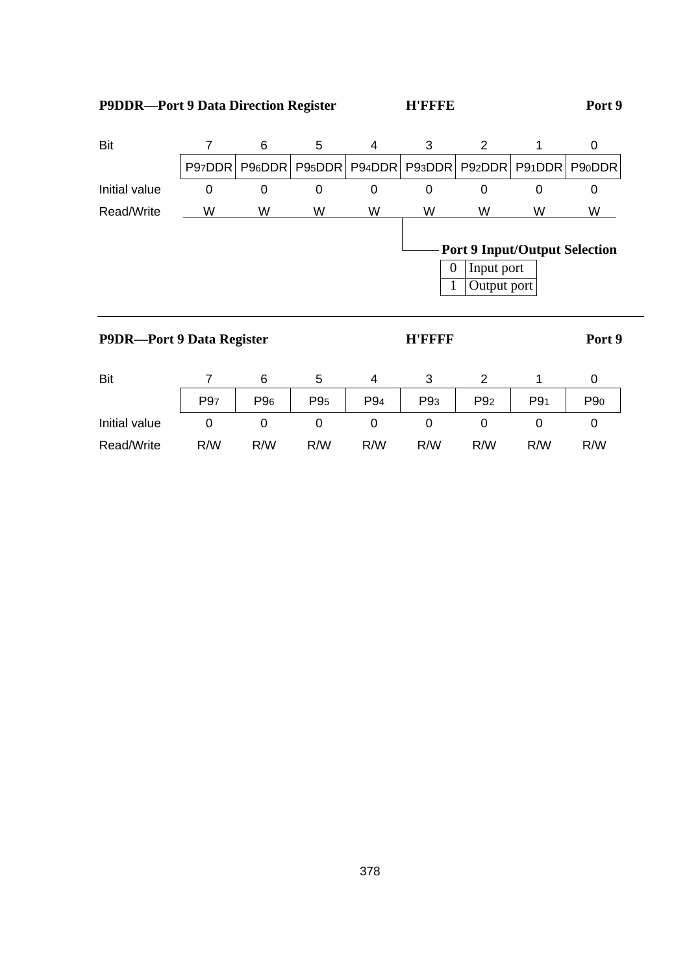| Bit                              | 7               | 6                   | 5               | 4        | 3                   | $\overline{2}$                                                    | 1      | 0      |
|----------------------------------|-----------------|---------------------|-----------------|----------|---------------------|-------------------------------------------------------------------|--------|--------|
|                                  | P97DDR          | P <sub>96</sub> DDR | P95DDR          | P94DDR   | P93DDR              | P <sub>92</sub> DDR                                               | P91DDR | P90DDR |
| Initial value                    | $\Omega$        | 0                   | 0               | $\Omega$ | 0                   | $\Omega$                                                          | 0      | 0      |
| Read/Write                       | W               | W                   | W               | W        | W                   | W                                                                 | W      | W      |
|                                  |                 |                     |                 |          | $\overline{0}$<br>1 | <b>Port 9 Input/Output Selection</b><br>Input port<br>Output port |        |        |
| <b>P9DR-Port 9 Data Register</b> |                 |                     |                 |          | <b>H'FFFF</b>       |                                                                   |        | Port 9 |
| Bit                              | 7               | 6                   | 5               | 4        | 3                   | 2                                                                 | 1      | 0      |
|                                  | P <sub>97</sub> | P <sub>96</sub>     | P <sub>95</sub> | P94      | P <sub>93</sub>     | P <sub>92</sub>                                                   | P91    | P90    |
| Initial value                    | $\Omega$        | 0                   | 0               | $\Omega$ | 0                   | 0                                                                 | 0      | 0      |
| Read/Write                       |                 |                     |                 |          |                     |                                                                   |        |        |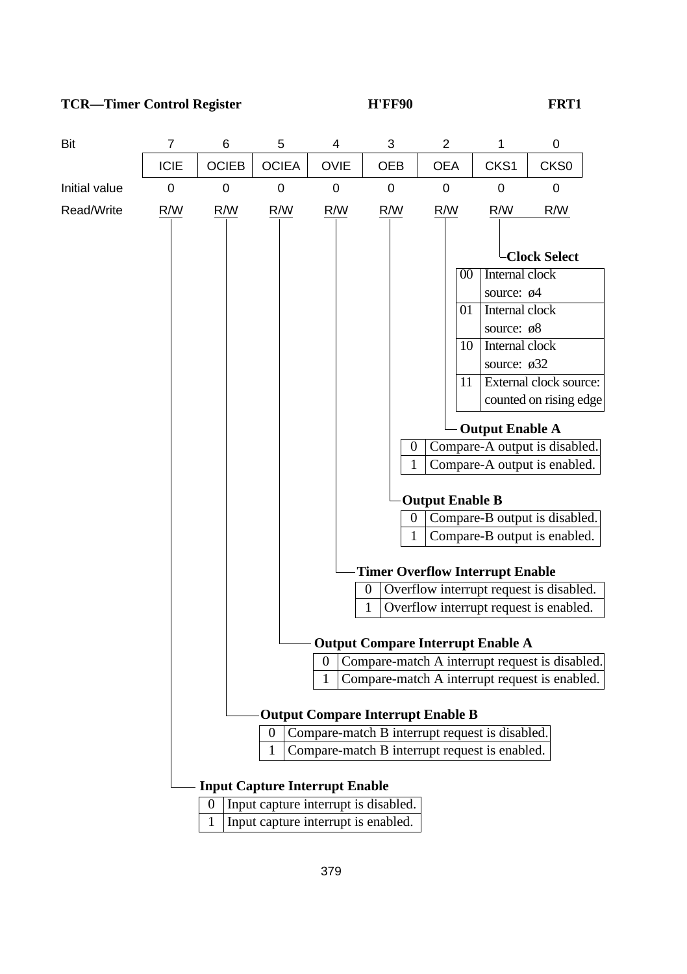### **TCR—Timer Control Register TCR—Timer Control Register TCR—Timer Control Register TCR**

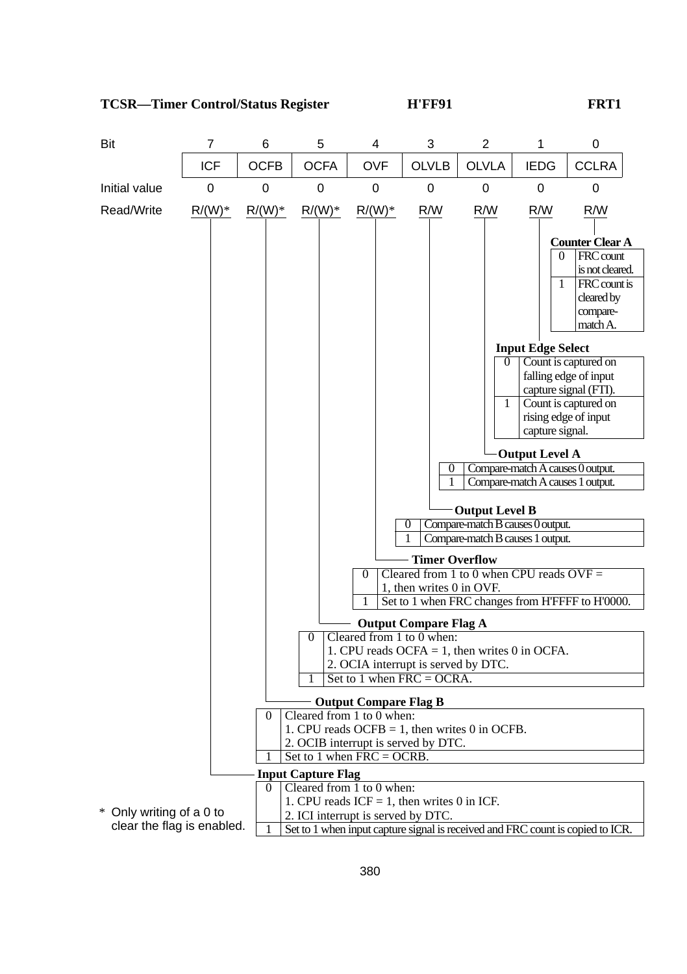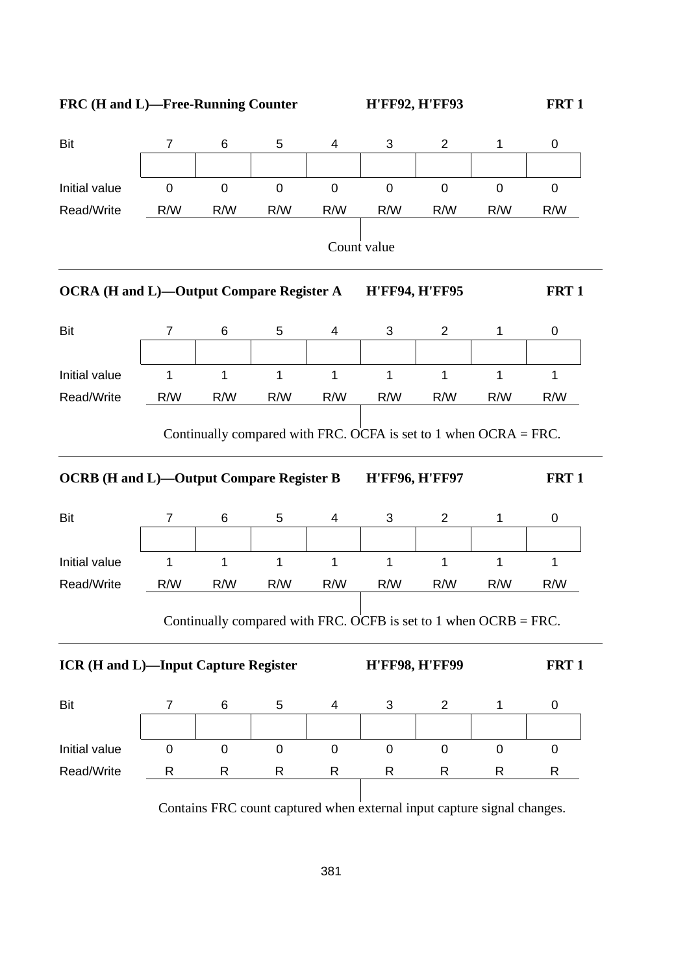

| <b>Bit</b>                                      | 7            | 6              | 5            | 4                       | 3                     | 2                                                                | 1            | 0                |
|-------------------------------------------------|--------------|----------------|--------------|-------------------------|-----------------------|------------------------------------------------------------------|--------------|------------------|
|                                                 |              |                |              |                         |                       |                                                                  |              |                  |
| Initial value                                   | $\mathbf 0$  | $\pmb{0}$      | $\mathbf 0$  | $\mathsf 0$             | $\mathbf 0$           | $\mathbf 0$                                                      | $\mathbf 0$  | 0                |
| Read/Write                                      | R/W          | R/W            | R/W          | R/W                     | R/W                   | R/W                                                              | R/W          | R/W              |
|                                                 |              |                |              |                         | Count value           |                                                                  |              |                  |
| <b>OCRA (H and L)-Output Compare Register A</b> |              |                |              |                         | <b>H'FF94, H'FF95</b> |                                                                  |              | FRT <sub>1</sub> |
| <b>Bit</b>                                      | 7            | 6              | 5            | $\overline{\mathbf{4}}$ | 3                     | $\overline{2}$                                                   | $\mathbf{1}$ | 0                |
|                                                 |              |                |              |                         |                       |                                                                  |              |                  |
| Initial value                                   | $\mathbf{1}$ | $\overline{1}$ | $\mathbf{1}$ | $\mathbf{1}$            | $\mathbf{1}$          | $\mathbf{1}$                                                     | $\mathbf{1}$ | $\mathbf{1}$     |
| Read/Write                                      | R/W          | R/W            | R/W          | R/W                     | R/W                   | R/W                                                              | R/W          | R/W              |
| <b>OCRB</b> (H and L)-Output Compare Register B |              |                |              |                         | <b>H'FF96, H'FF97</b> | Continually compared with FRC. OCFA is set to 1 when OCRA = FRC. |              | FRT <sub>1</sub> |
| <b>Bit</b>                                      | 7            | 6              | 5            | 4                       | 3                     | $\overline{2}$                                                   | $\mathbf{1}$ | 0                |
|                                                 |              |                |              |                         |                       |                                                                  |              |                  |
| Initial value                                   | 1            | 1              | 1            | 1                       | 1                     | $\mathbf{1}$                                                     | $\mathbf{1}$ | $\mathbf 1$      |
| Read/Write                                      | R/W          | R/W            | R/W          | R/W                     | R/W                   | R/W                                                              | R/W          | R/W              |
|                                                 |              |                |              |                         |                       | Continually compared with FRC. OCFB is set to 1 when OCRB = FRC. |              |                  |
| <b>ICR (H and L)-Input Capture Register</b>     |              |                |              |                         | <b>H'FF98, H'FF99</b> |                                                                  |              | FRT <sub>1</sub> |
| Bit                                             | 7            | 6              | 5            | 4                       | 3                     | $\overline{c}$                                                   | 1            | 0                |
|                                                 |              |                |              |                         |                       |                                                                  |              |                  |
| Initial value                                   | $\mathbf 0$  | $\mathbf 0$    | $\mathsf 0$  | $\pmb{0}$               | $\mathbf 0$           | $\mathbf 0$                                                      | $\mathbf 0$  | $\pmb{0}$        |
| Read/Write                                      | R            | $\mathsf{R}$   | $\mathsf{R}$ | $\mathsf{R}$            | $\mathsf{R}$          | $\mathsf{R}$                                                     | $\mathsf{R}$ | R                |
|                                                 |              |                |              |                         |                       |                                                                  |              |                  |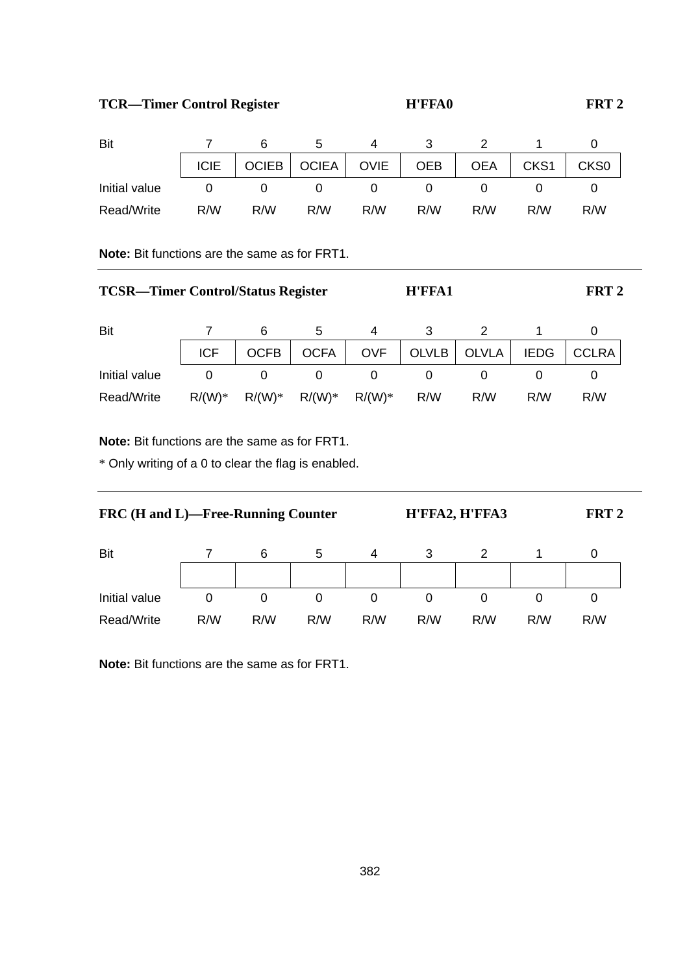# **TCR—Timer Control Register H'FFA0 FRT 2**

| Bit           |             |                    |       |             |            |            |                  |                  |
|---------------|-------------|--------------------|-------|-------------|------------|------------|------------------|------------------|
|               | <b>ICIE</b> | OCIEB <sub>I</sub> | OCIEA | <b>OVIE</b> | <b>OEB</b> | <b>OEA</b> | CKS <sub>1</sub> | CKS <sub>0</sub> |
| Initial value |             |                    |       |             |            |            |                  |                  |
| Read/Write    | R/W         | R/W                | R/M   | R/M         | R/W        | R/W        | R/M              | R/W              |

**Note:** Bit functions are the same as for FRT1.

| <b>TCSR—Timer Control/Status Register</b> |            | H'FFA1      | FRT 2       |            |              |              |             |              |  |
|-------------------------------------------|------------|-------------|-------------|------------|--------------|--------------|-------------|--------------|--|
| Bit                                       |            | 6           | 5           | 4          | 3            |              |             |              |  |
|                                           | <b>ICF</b> | <b>OCFB</b> | <b>OCFA</b> | <b>OVF</b> | <b>OLVLB</b> | <b>OLVLA</b> | <b>IEDG</b> | <b>CCLRA</b> |  |
| Initial value                             | 0          | 0           | 0           |            | 0            |              |             | 0            |  |
| Read/Write                                | $R/(W)*$   | $R/(W)*$    | $R/(W)*$    | $R/(W)*$   | R/W          | R/W          | R/W         | R/W          |  |

**Note:** Bit functions are the same as for FRT1.

\* Only writing of a 0 to clear the flag is enabled.

| FRC (H and L)—Free-Running Counter |     | FRT <sub>2</sub> |     |     |     |     |     |     |  |
|------------------------------------|-----|------------------|-----|-----|-----|-----|-----|-----|--|
| Bit                                |     | 6                | 5   | 4   |     |     |     | 0   |  |
| Initial value                      | 0   | 0                | 0   | 0   | 0   | 0   | O   | 0   |  |
| Read/Write                         | R/W | R/W              | R/M | R/W | R/W | R/W | R/W | R/W |  |

**Note:** Bit functions are the same as for FRT1.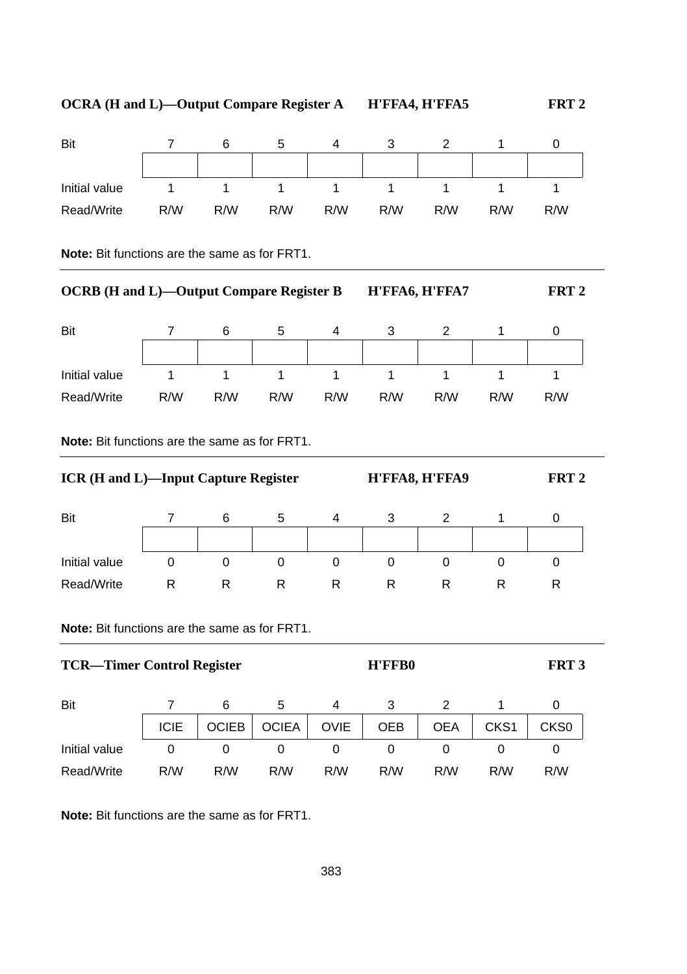| <b>OCRA (H and L)-Output Compare Register A</b> |                |              |              |              |                | H'FFA4, H'FFA5 |                  | FRT <sub>2</sub> |
|-------------------------------------------------|----------------|--------------|--------------|--------------|----------------|----------------|------------------|------------------|
| Bit                                             | 7              | 6            | 5            | 4            | 3              | $\overline{2}$ | $\mathbf{1}$     | 0                |
| Initial value                                   | $\mathbf{1}$   | $\mathbf{1}$ | $\mathbf{1}$ | $\mathbf{1}$ | $\mathbf{1}$   | $\mathbf{1}$   | $\mathbf{1}$     | $\mathbf{1}$     |
| Read/Write                                      | R/W            | R/W          | R/W          | R/W          | R/W            | R/W            | R/W              | R/W              |
| Note: Bit functions are the same as for FRT1.   |                |              |              |              |                |                |                  |                  |
| <b>OCRB</b> (H and L)-Output Compare Register B |                |              |              |              | H'FFA6, H'FFA7 |                | FRT <sub>2</sub> |                  |
| Bit                                             | 7              | 6            | 5            | 4            | 3              | 2              | 1                | 0                |
| Initial value                                   | 1              | $\mathbf{1}$ | $\mathbf{1}$ | $\mathbf{1}$ | $\mathbf{1}$   | $\mathbf{1}$   | $\mathbf{1}$     | $\mathbf{1}$     |
| Read/Write                                      | R/W            | R/W          | R/W          | R/W          | R/W            | R/W            | R/W              | R/W              |
| Note: Bit functions are the same as for FRT1.   |                |              |              |              |                |                |                  |                  |
| ICR (H and L)-Input Capture Register            |                |              |              |              |                | H'FFA8, H'FFA9 |                  | FRT <sub>2</sub> |
| Bit                                             | $\overline{7}$ | 6            | 5            | 4            | 3              | 2              | 1                | 0                |
| Initial value                                   | 0              | $\mathbf 0$  | $\mathbf 0$  | $\Omega$     | $\Omega$       | $\Omega$       | $\Omega$         | $\Omega$         |
| Read/Write                                      | R              | R            | R            | R            | R              | R              | R                | R                |

**Note:** Bit functions are the same as for FRT1.

| Bit           |             | 6            |              | 4           |            |            |                  |                  |
|---------------|-------------|--------------|--------------|-------------|------------|------------|------------------|------------------|
|               | <b>ICIE</b> | <b>OCIEB</b> | <b>OCIEA</b> | <b>OVIE</b> | <b>OEB</b> | <b>OEA</b> | CKS <sub>1</sub> | CKS <sub>0</sub> |
| Initial value |             |              |              |             |            |            |                  |                  |
| Read/Write    | R/W         | R/W          | R/W          | R/W         | R/W        | R/W        | R/W              | R/W              |

**Note:** Bit functions are the same as for FRT1.

TCR—Timer Control Register **H'FFB0** FRT 3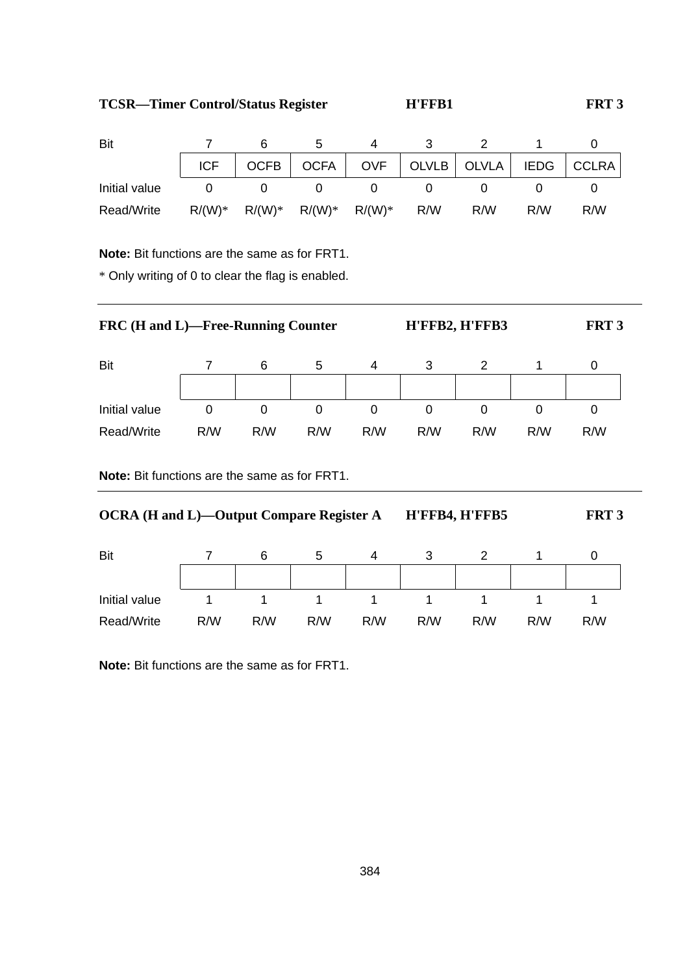TCSR—Timer Control/Status Register **H'FFB1** FRT 3

| Bit           |           |          |                     |     |                                                  |     |     |
|---------------|-----------|----------|---------------------|-----|--------------------------------------------------|-----|-----|
|               | ICF       |          |                     |     | OCFB   OCFA   OVF   OLVLB   OLVLA   IEDG   CCLRA |     |     |
| Initial value |           |          |                     |     |                                                  |     |     |
| Read/Write    | $R/(W)^*$ | $R/(W)*$ | $R/(W)^*$ $R/(W)^*$ | R/W | R/W                                              | R/W | R/M |

**Note:** Bit functions are the same as for FRT1.

\* Only writing of 0 to clear the flag is enabled.

| <b>FRC</b> (H and L)—Free-Running Counter |     |     |     |     | FRT <sub>3</sub> |     |     |     |  |
|-------------------------------------------|-----|-----|-----|-----|------------------|-----|-----|-----|--|
| Bit                                       |     | 6   | 5   | 4   | 3                |     |     |     |  |
| Initial value                             | 0   | 0   | 0   | 0   |                  | 0   |     | 0   |  |
| Read/Write                                | R/W | R/W | R/W | R/W | R/W              | R/W | R/M | R/W |  |

**Note:** Bit functions are the same as for FRT1.

| <b>OCRA</b> (H and L)—Output Compare Register A | H'FFB4, H'FFB5 | FRT <sub>3</sub> |     |     |     |     |     |     |  |
|-------------------------------------------------|----------------|------------------|-----|-----|-----|-----|-----|-----|--|
| Bit                                             |                | 6                | 5   | 4   | з   |     |     |     |  |
| Initial value                                   |                |                  |     |     |     |     |     |     |  |
| Read/Write                                      | R/W            | R/W              | R/W | R/W | R/W | R/W | R/W | R/W |  |

**Note:** Bit functions are the same as for FRT1.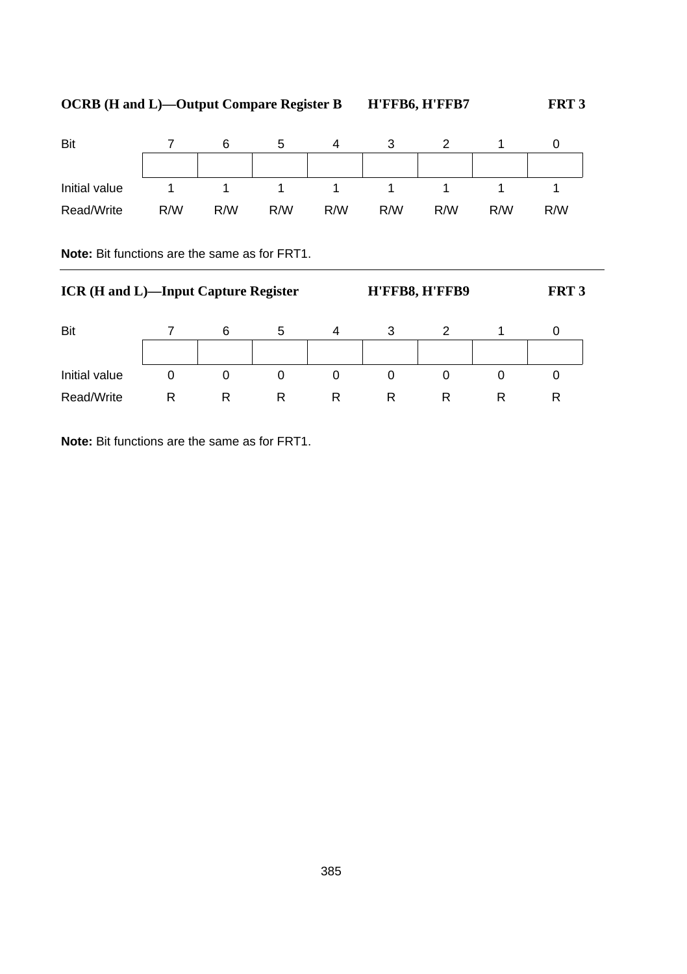| Bit           |     |     | э   |     | w   |     |     |     |
|---------------|-----|-----|-----|-----|-----|-----|-----|-----|
|               |     |     |     |     |     |     |     |     |
| Initial value |     |     |     |     |     |     |     |     |
| Read/Write    | R/W | R/W | R/W | R/W | R/W | R/W | R/W | R/W |

**Note:** Bit functions are the same as for FRT1.

| <b>ICR (H and L)—Input Capture Register</b> |   |   |   |   | FRT <sub>3</sub> |   |   |   |
|---------------------------------------------|---|---|---|---|------------------|---|---|---|
| Bit                                         |   | 6 | 5 | 4 | 3                |   |   |   |
|                                             |   |   |   |   |                  |   |   |   |
| Initial value                               |   |   | 0 | 0 | O                | O |   |   |
| Read/Write                                  | R | R | R | R | R                | R | R | R |

**Note:** Bit functions are the same as for FRT1.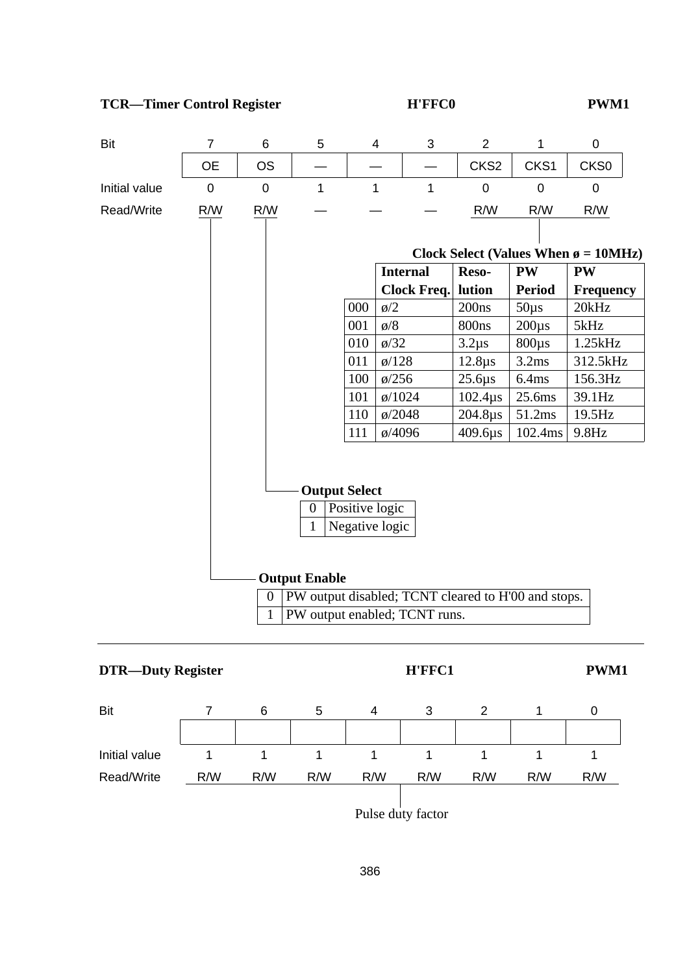



386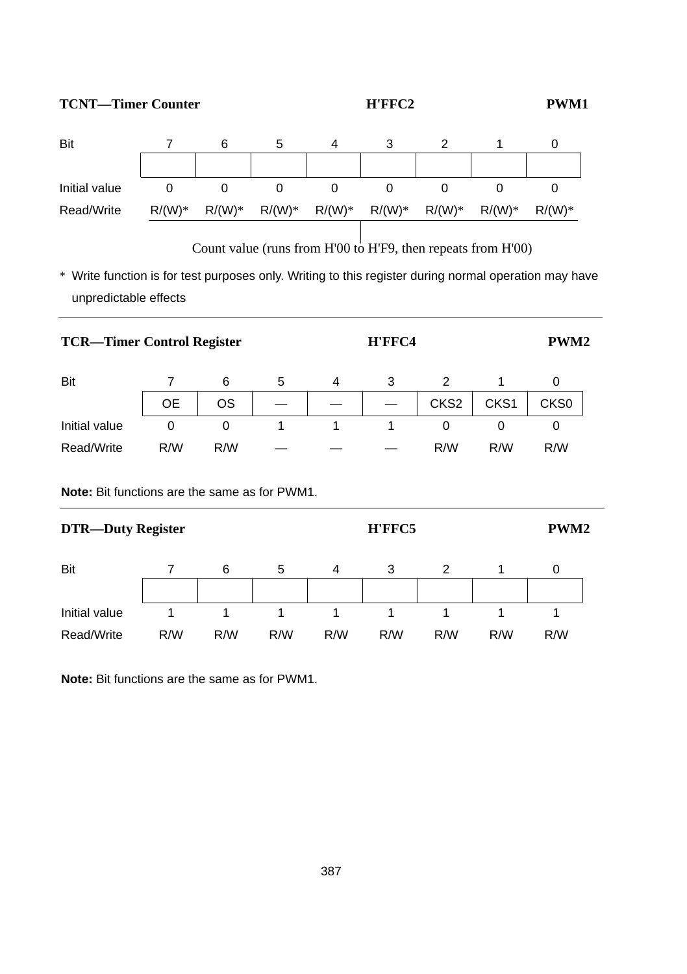# **TCNT—Timer Counter H'FFC2 PWM1**



Count value (runs from H'00 to H'F9, then repeats from H'00)

\* Write function is for test purposes only. Writing to this register during normal operation may have unpredictable effects

|                                                      | <b>TCR-Timer Control Register</b> |     |   |   |        | H'FFC4           |                  |                  |  |  |
|------------------------------------------------------|-----------------------------------|-----|---|---|--------|------------------|------------------|------------------|--|--|
| Bit                                                  | 7                                 | 6   | 5 | 4 | 3      | 2                | 1                | 0                |  |  |
|                                                      | <b>OE</b>                         | OS  |   |   |        | CKS <sub>2</sub> | CKS <sub>1</sub> | CKS0             |  |  |
| Initial value                                        | 0                                 | 0   | 1 | 1 | 1      | 0                | 0                | 0                |  |  |
| Read/Write                                           | R/W                               | R/W |   |   |        | R/W              | R/W              | R/W              |  |  |
| <b>Note:</b> Bit functions are the same as for PWM1. |                                   |     |   |   |        |                  |                  |                  |  |  |
| <b>DTR-Duty Register</b>                             |                                   |     |   |   | H'FFC5 |                  |                  | PWM <sub>2</sub> |  |  |
| Bit                                                  | 7                                 | 6   | 5 | 4 | 3      | 2                |                  | 0                |  |  |

Initial value 1 1 1 1 1 1 1 1 1 1 1 Read/Write R/W R/W R/W R/W R/W R/W R/W R/W

**Note:** Bit functions are the same as for PWM1.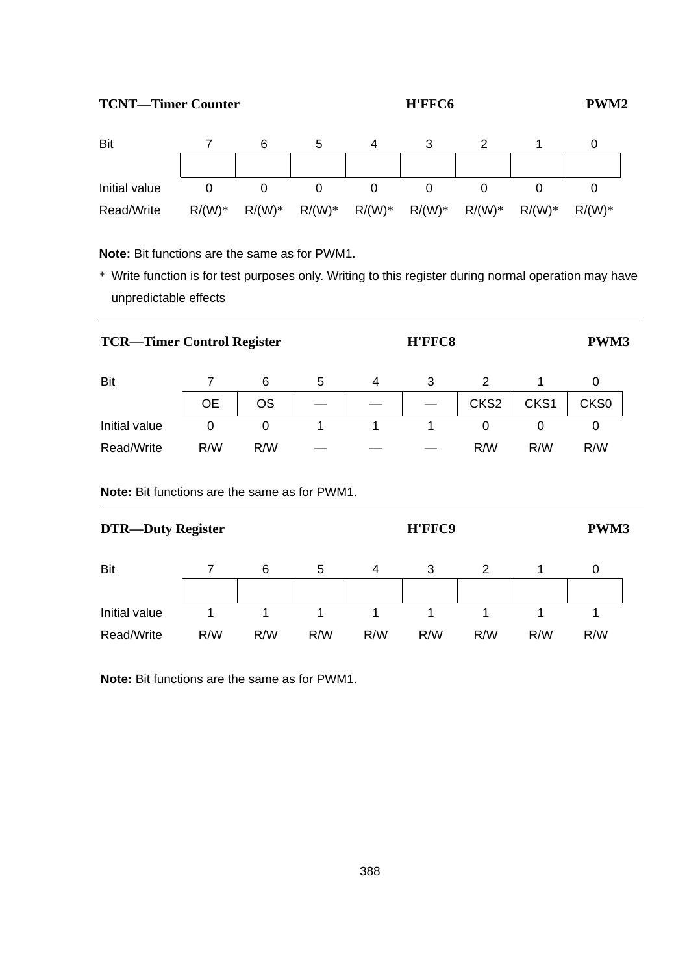### **TCNT—Timer Counter H'FFC6 PWM2**



**Note:** Bit functions are the same as for PWM1.

\* Write function is for test purposes only. Writing to this register during normal operation may have unpredictable effects

| <b>TCR—Timer Control Register</b> |     |     |   | PWM3 |   |                  |                  |                  |  |
|-----------------------------------|-----|-----|---|------|---|------------------|------------------|------------------|--|
| Bit                               |     | 6   | 5 | 4    | 3 | 2                |                  | 0                |  |
|                                   | 0E  | OS  |   |      |   | CKS <sub>2</sub> | CKS <sub>1</sub> | CKS <sub>0</sub> |  |
| Initial value                     | 0   | 0   |   |      |   | 0                |                  | 0                |  |
| Read/Write                        | R/W | R/W |   |      |   | R/W              | R/W              | R/W              |  |

**Note:** Bit functions are the same as for PWM1.

| <b>DTR-Duty Register</b> |     |     |     |     |     | <b>PWM3</b> |     |     |  |
|--------------------------|-----|-----|-----|-----|-----|-------------|-----|-----|--|
| Bit                      |     | 6   | 5   | 4   | 3   |             |     | O   |  |
| Initial value            |     |     |     |     |     |             |     |     |  |
| Read/Write               | R/W | R/W | R/W | R/W | R/W | R/W         | R/W | R/W |  |

**Note:** Bit functions are the same as for PWM1.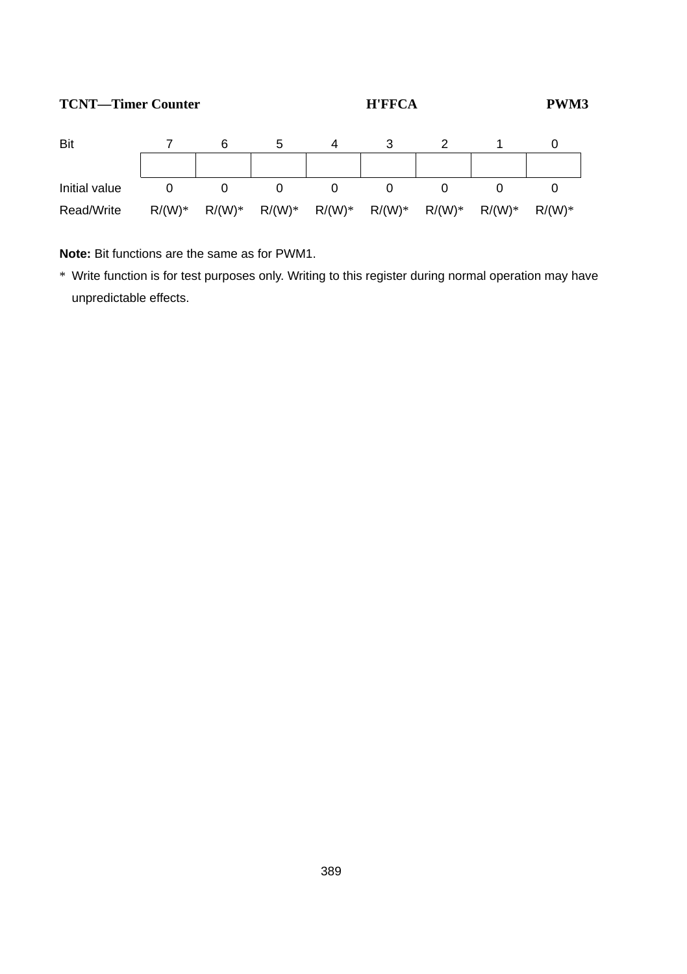### **TCNT—Timer Counter H'FFCA PWM3**



**Note:** Bit functions are the same as for PWM1.

\* Write function is for test purposes only. Writing to this register during normal operation may have unpredictable effects.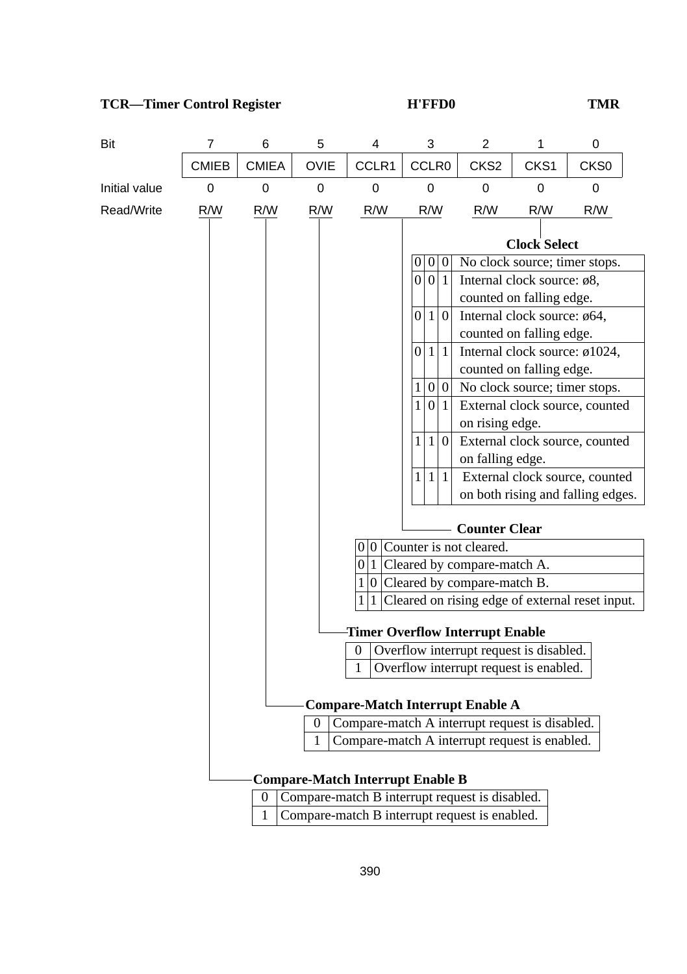# **TCR—Timer Control Register H'FFD0 TMR**

| Bit                                                                                          | 7            | 6                                                                                                                                                           | 5           | 4      | 3                                                                                                                                                                                                                                                                                                                                                                                                                                                                                                                                                                                                                                                                                                     | $\overline{c}$   | 1    | 0                                               |  |  |
|----------------------------------------------------------------------------------------------|--------------|-------------------------------------------------------------------------------------------------------------------------------------------------------------|-------------|--------|-------------------------------------------------------------------------------------------------------------------------------------------------------------------------------------------------------------------------------------------------------------------------------------------------------------------------------------------------------------------------------------------------------------------------------------------------------------------------------------------------------------------------------------------------------------------------------------------------------------------------------------------------------------------------------------------------------|------------------|------|-------------------------------------------------|--|--|
|                                                                                              | <b>CMIEB</b> | <b>CMIEA</b>                                                                                                                                                | <b>OVIE</b> | CCLR1  | CCLR0                                                                                                                                                                                                                                                                                                                                                                                                                                                                                                                                                                                                                                                                                                 | CKS <sub>2</sub> | CKS1 | CKS <sub>0</sub>                                |  |  |
| Initial value                                                                                | 0            | 0                                                                                                                                                           | 0           | 0      | $\mathbf 0$                                                                                                                                                                                                                                                                                                                                                                                                                                                                                                                                                                                                                                                                                           | 0                | 0    | 0                                               |  |  |
| Read/Write                                                                                   | R/W          | R/W                                                                                                                                                         | R/W         | R/W    | R/W                                                                                                                                                                                                                                                                                                                                                                                                                                                                                                                                                                                                                                                                                                   | R/W              | R/W  | R/W                                             |  |  |
|                                                                                              |              |                                                                                                                                                             |             |        | <b>Clock Select</b><br>0<br> 0 <br>No clock source; timer stops.<br>$\mathbf{0}$<br>0 0 1<br>Internal clock source: $\phi$ 8,<br>counted on falling edge.<br>$\mathbf{1}$<br>$\boldsymbol{0}$<br>Internal clock source: ø64,<br>0<br>counted on falling edge.<br>$\vert$ 1<br>$\mathbf{1}$<br>Internal clock source: ø1024,<br>0<br>counted on falling edge.<br>$\boldsymbol{0}$<br>No clock source; timer stops.<br> 0 <br>1<br>1<br>0 1<br>External clock source, counted<br>on rising edge.<br>$\mathbf{1}$<br>$\mathbf{0}$<br>External clock source, counted<br>1<br>on falling edge.<br>$\mathbf{1}$<br>$\mathbf{1}$<br>External clock source, counted<br>1<br>on both rising and falling edges. |                  |      |                                                 |  |  |
| <b>Counter Clear</b><br>$0 0 $ Counter is not cleared.<br>$0 1 $ Cleared by compare-match A. |              |                                                                                                                                                             |             |        |                                                                                                                                                                                                                                                                                                                                                                                                                                                                                                                                                                                                                                                                                                       |                  |      |                                                 |  |  |
|                                                                                              |              |                                                                                                                                                             |             |        | $1 0 $ Cleared by compare-match B.                                                                                                                                                                                                                                                                                                                                                                                                                                                                                                                                                                                                                                                                    |                  |      |                                                 |  |  |
|                                                                                              |              |                                                                                                                                                             |             | 1<br>1 |                                                                                                                                                                                                                                                                                                                                                                                                                                                                                                                                                                                                                                                                                                       |                  |      | Cleared on rising edge of external reset input. |  |  |
|                                                                                              |              |                                                                                                                                                             |             | 0<br>1 | <b>Timer Overflow Interrupt Enable</b><br>Overflow interrupt request is disabled.<br>Overflow interrupt request is enabled.                                                                                                                                                                                                                                                                                                                                                                                                                                                                                                                                                                           |                  |      |                                                 |  |  |
|                                                                                              |              | <b>Compare-Match Interrupt Enable A</b><br>Compare-match A interrupt request is disabled.<br>$\theta$<br>1<br>Compare-match A interrupt request is enabled. |             |        |                                                                                                                                                                                                                                                                                                                                                                                                                                                                                                                                                                                                                                                                                                       |                  |      |                                                 |  |  |
|                                                                                              |              |                                                                                                                                                             |             |        |                                                                                                                                                                                                                                                                                                                                                                                                                                                                                                                                                                                                                                                                                                       |                  |      |                                                 |  |  |
|                                                                                              |              |                                                                                                                                                             |             |        | <b>Compare-Match Interrupt Enable B</b>                                                                                                                                                                                                                                                                                                                                                                                                                                                                                                                                                                                                                                                               |                  |      |                                                 |  |  |
|                                                                                              |              | 0                                                                                                                                                           |             |        | Compare-match B interrupt request is disabled.                                                                                                                                                                                                                                                                                                                                                                                                                                                                                                                                                                                                                                                        |                  |      |                                                 |  |  |

1 Compare-match B interrupt request is enabled.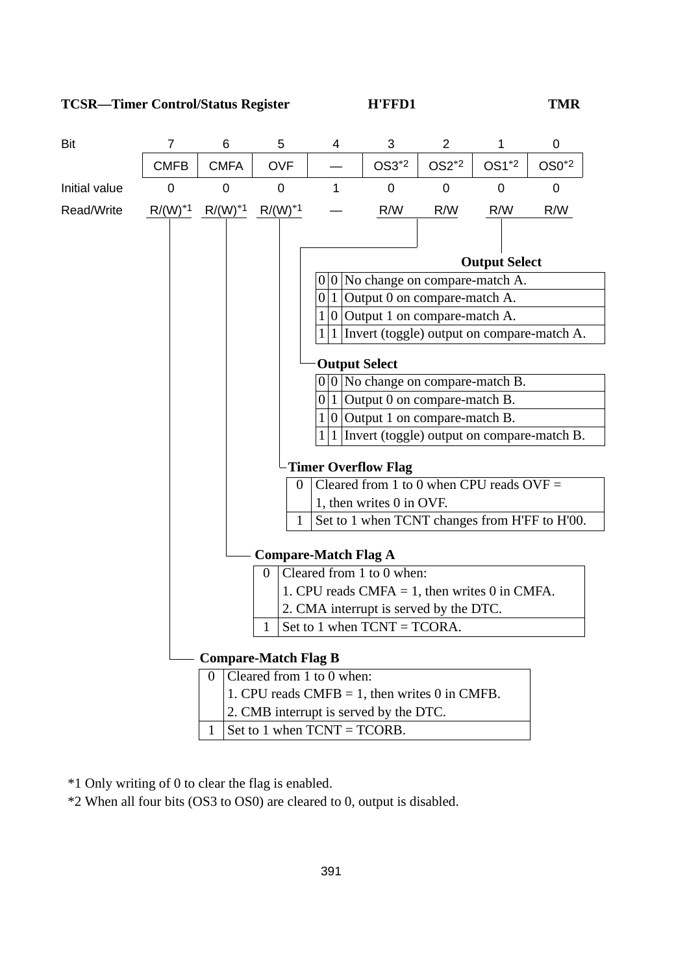**TCSR—Timer Control/Status Register H'FFD1 TMR**



\*1 Only writing of 0 to clear the flag is enabled.

\*2 When all four bits (OS3 to OS0) are cleared to 0, output is disabled.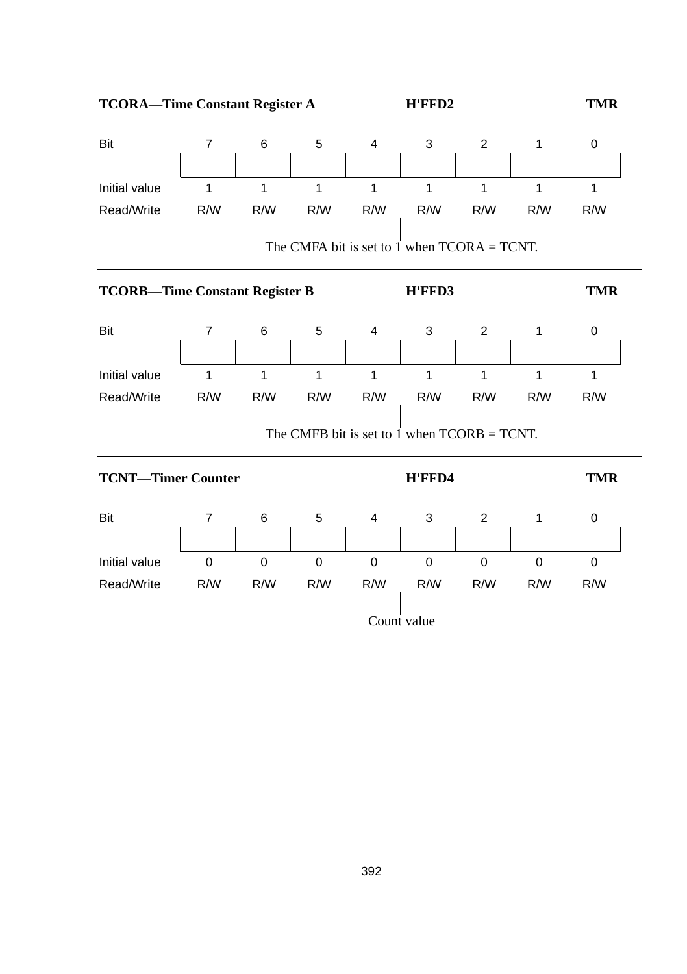**TCORA—Time Constant Register A H'FFD2 TMR**

| Bit                                   | 7           | 6            | 5            | 4                                              | 3         | $\overline{c}$ | 1            | 0          |
|---------------------------------------|-------------|--------------|--------------|------------------------------------------------|-----------|----------------|--------------|------------|
|                                       |             |              |              |                                                |           |                |              |            |
| Initial value                         | 1           | $\mathbf{1}$ | $\mathbf{1}$ | 1                                              | 1         | 1              | $\mathbf{1}$ | 1          |
| Read/Write                            | R/W         | R/W          | R/W          | R/W                                            | R/W       | R/W            | R/W          | R/W        |
|                                       |             |              |              | The CMFA bit is set to 1 when $TCORA = TCNT$ . |           |                |              |            |
| <b>TCORB-Time Constant Register B</b> |             |              |              |                                                | H'FFD3    |                |              | <b>TMR</b> |
| Bit                                   | 7           | 6            | 5            | 4                                              | 3         | $\overline{c}$ | 1            | 0          |
| Initial value                         | 1           | $\mathbf{1}$ | 1            | 1                                              | 1         | 1              | 1            | 1          |
| Read/Write                            | R/W         | R/W          | R/W          | R/W                                            | R/W       | R/W            | R/W          | R/W        |
|                                       |             |              |              | The CMFB bit is set to 1 when $TCORB = TCNT$ . |           |                |              |            |
| <b>TCNT-Timer Counter</b>             |             |              | H'FFD4       |                                                |           | <b>TMR</b>     |              |            |
| Bit                                   | 7           | 6            | 5            | 4                                              | 3         | $\overline{2}$ | 1            | 0          |
| Initial value                         | $\mathsf 0$ | $\mathbf 0$  | $\mathbf 0$  | 0                                              | $\pmb{0}$ | 0              | 0            | $\pmb{0}$  |
| Read/Write                            | R/W         | R/W          | R/W          | R/W                                            | R/W       | R/W            | R/W          | R/W        |
|                                       | Count value |              |              |                                                |           |                |              |            |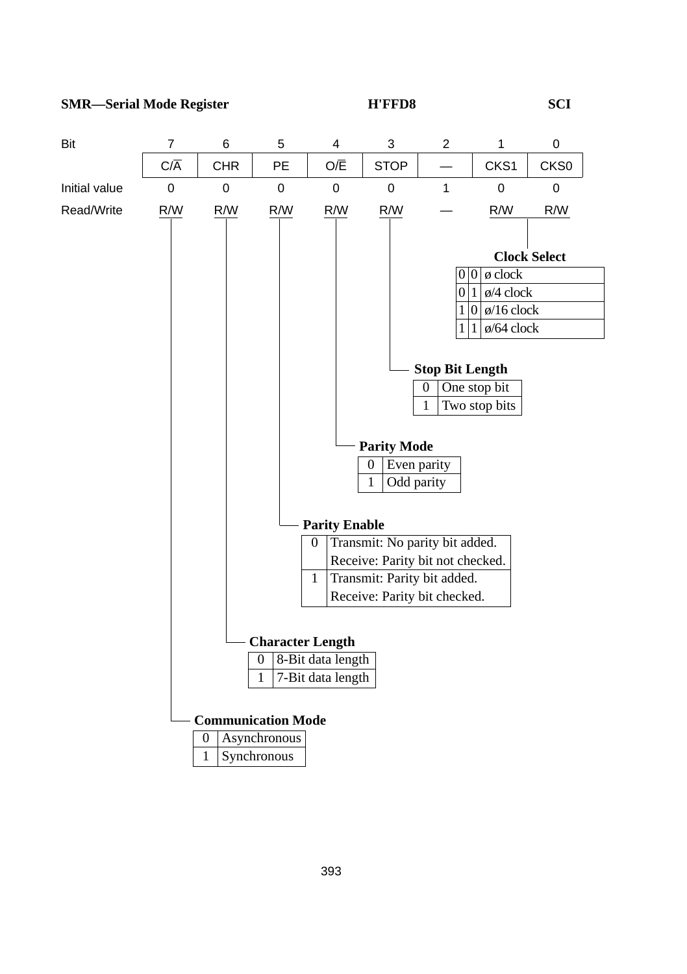### **SMR—Serial Mode Register H'FFD8 SCI**

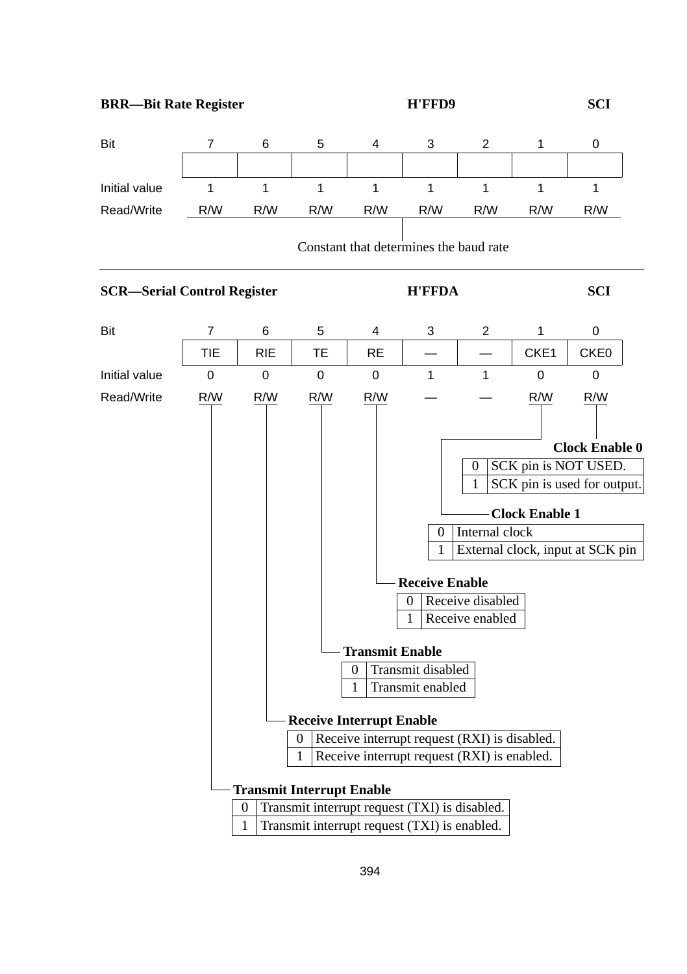**BRR—Bit Rate Register H'FFD9 SCI**

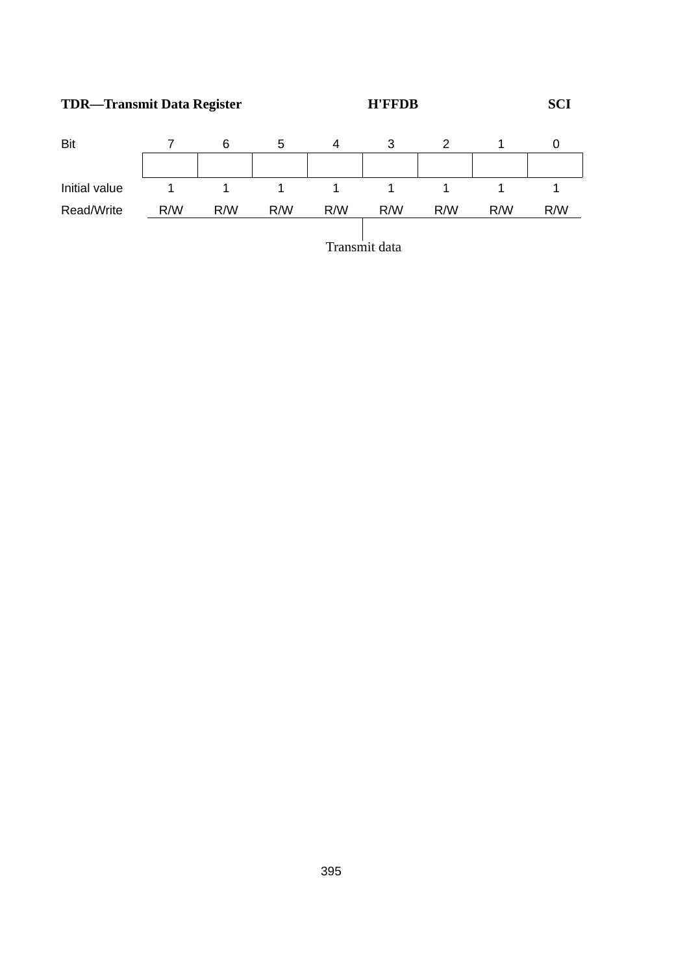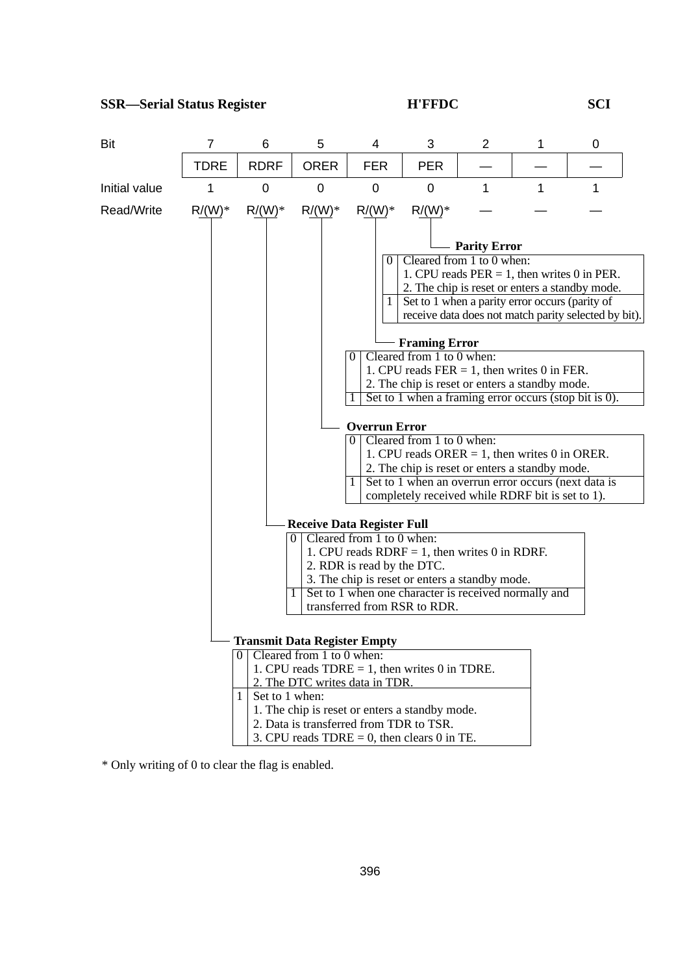

\* Only writing of 0 to clear the flag is enabled.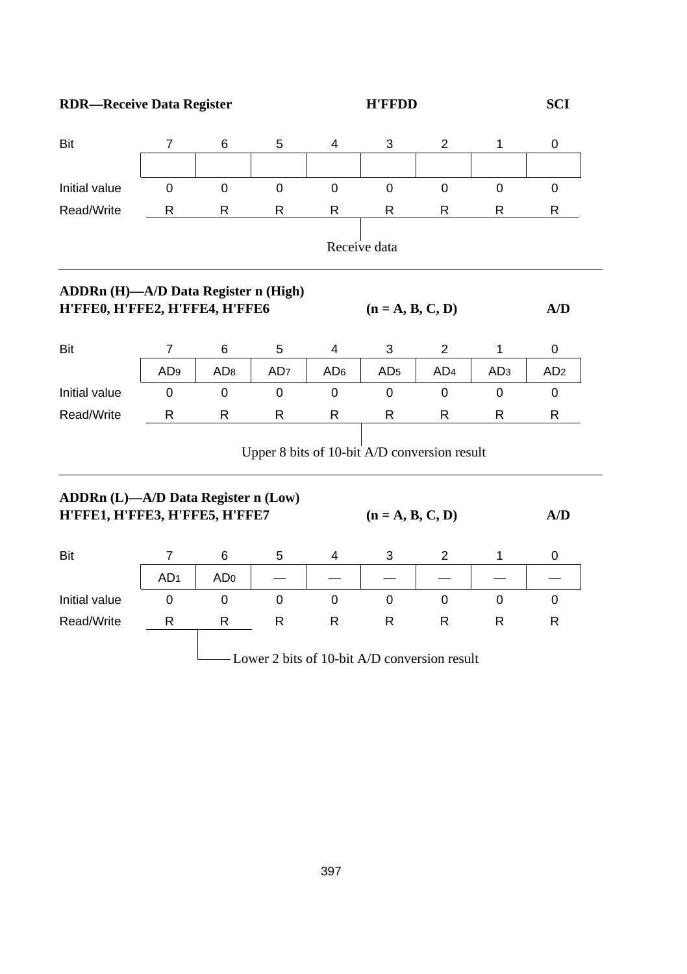**RDR—Receive Data Register H'FFDD SCI** 

| Bit                                                                          | $\overline{7}$  | 6               | 5               | 4                                            | 3                  | $\overline{c}$  | 1               | 0               |  |
|------------------------------------------------------------------------------|-----------------|-----------------|-----------------|----------------------------------------------|--------------------|-----------------|-----------------|-----------------|--|
|                                                                              |                 |                 |                 |                                              |                    |                 |                 |                 |  |
| Initial value                                                                | $\Omega$        | $\mathbf 0$     | $\Omega$        | 0                                            | $\Omega$           | $\Omega$        | $\Omega$        | $\Omega$        |  |
| Read/Write                                                                   | R               | R               | R               | R                                            | R                  | R               | R               | R               |  |
|                                                                              |                 |                 |                 |                                              | Receive data       |                 |                 |                 |  |
| ADDRn (H)-A/D Data Register n (High)<br>H'FFE0, H'FFE2, H'FFE4, H'FFE6       |                 |                 |                 |                                              | $(n = A, B, C, D)$ |                 |                 | A/D             |  |
| Bit                                                                          | $\overline{7}$  | 6               | 5               | 4                                            | 3                  | $\overline{2}$  | 1               | 0               |  |
|                                                                              | AD <sub>9</sub> | AD <sub>8</sub> | AD <sub>7</sub> | AD <sub>6</sub>                              | AD <sub>5</sub>    | AD <sub>4</sub> | AD <sub>3</sub> | AD <sub>2</sub> |  |
| Initial value                                                                | 0               | 0               | 0               | 0                                            | 0                  | 0               | 0               | 0               |  |
| Read/Write                                                                   | R               | R               | R               | R                                            | R                  | R               | R               | R               |  |
|                                                                              |                 |                 |                 | Upper 8 bits of 10-bit A/D conversion result |                    |                 |                 |                 |  |
| <b>ADDRn (L)—A/D Data Register n (Low)</b><br>H'FFE1, H'FFE3, H'FFE5, H'FFE7 |                 |                 |                 |                                              | $(n = A, B, C, D)$ |                 |                 | A/D             |  |
| Bit                                                                          | 7               | 6               | 5               | 4                                            | 3                  | 2               | 1               | 0               |  |
|                                                                              | AD <sub>1</sub> | AD <sub>0</sub> |                 |                                              |                    |                 |                 |                 |  |
| Initial value                                                                | $\Omega$        | $\mathbf 0$     | $\mathbf 0$     | $\Omega$                                     | $\Omega$           | $\Omega$        | $\Omega$        | 0               |  |
| Read/Write                                                                   | R               | R               | $\mathsf{R}$    | R                                            | $\mathsf{R}$       | $\mathsf{R}$    | R               | R               |  |
| - Lower 2 bits of 10-bit A/D conversion result                               |                 |                 |                 |                                              |                    |                 |                 |                 |  |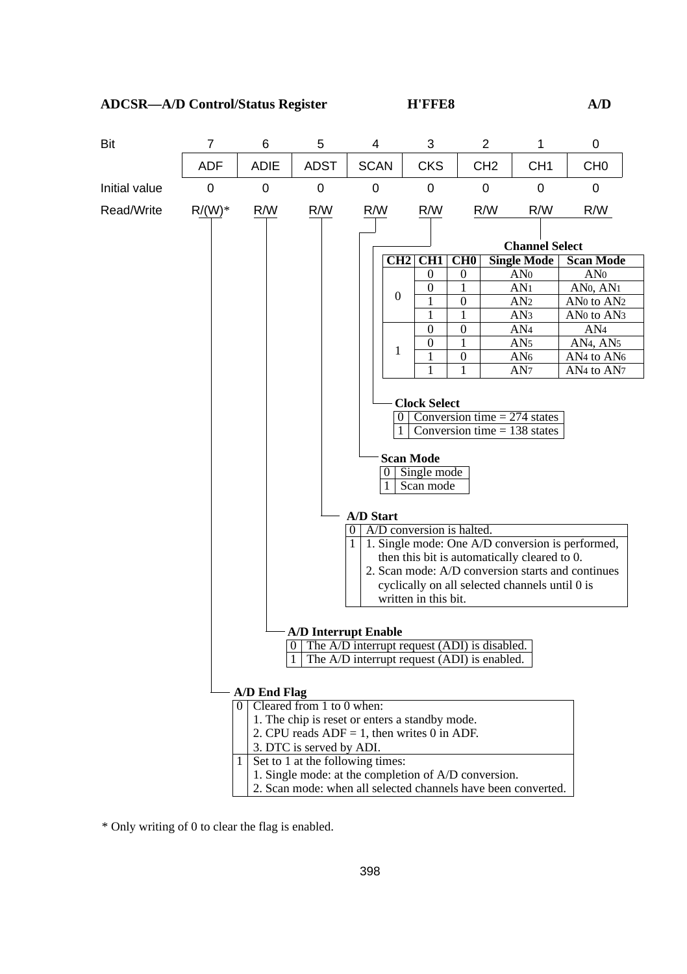

\* Only writing of 0 to clear the flag is enabled.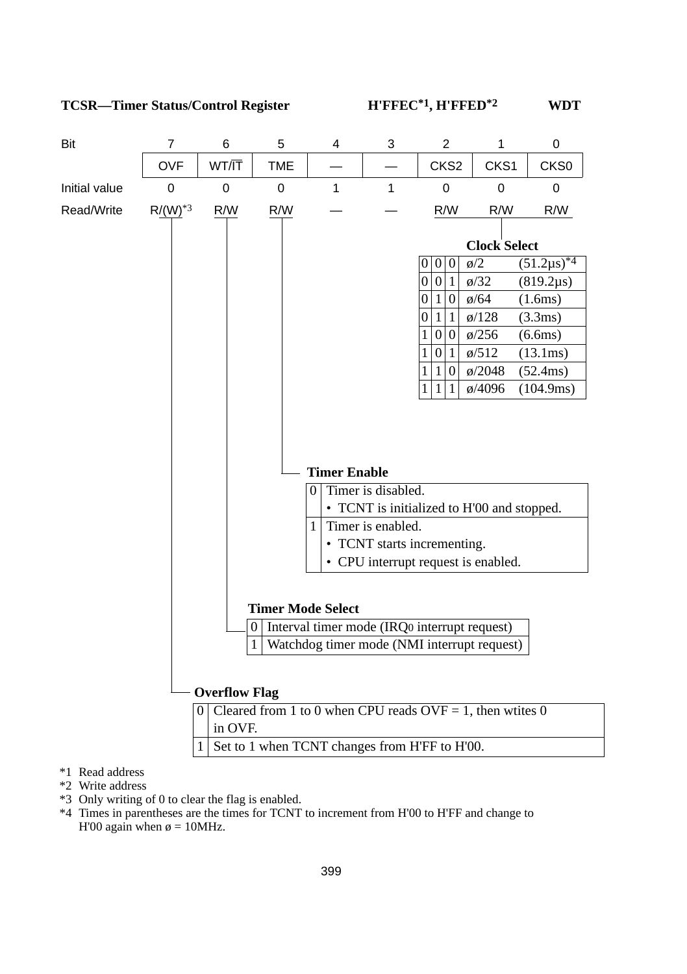

- \*2 Write address
- \*3 Only writing of 0 to clear the flag is enabled.
- \*4 Times in parentheses are the times for TCNT to increment from H'00 to H'FF and change to H'00 again when  $\phi = 10$ MHz.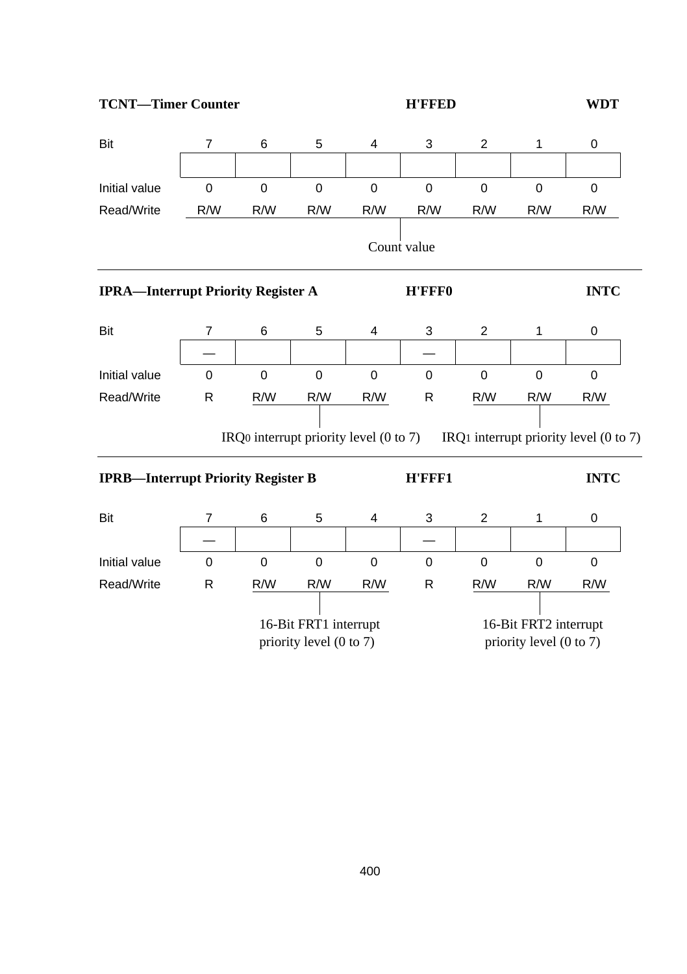**TCNT—Timer Counter TOMB TOWARD H'FFED WDT** 

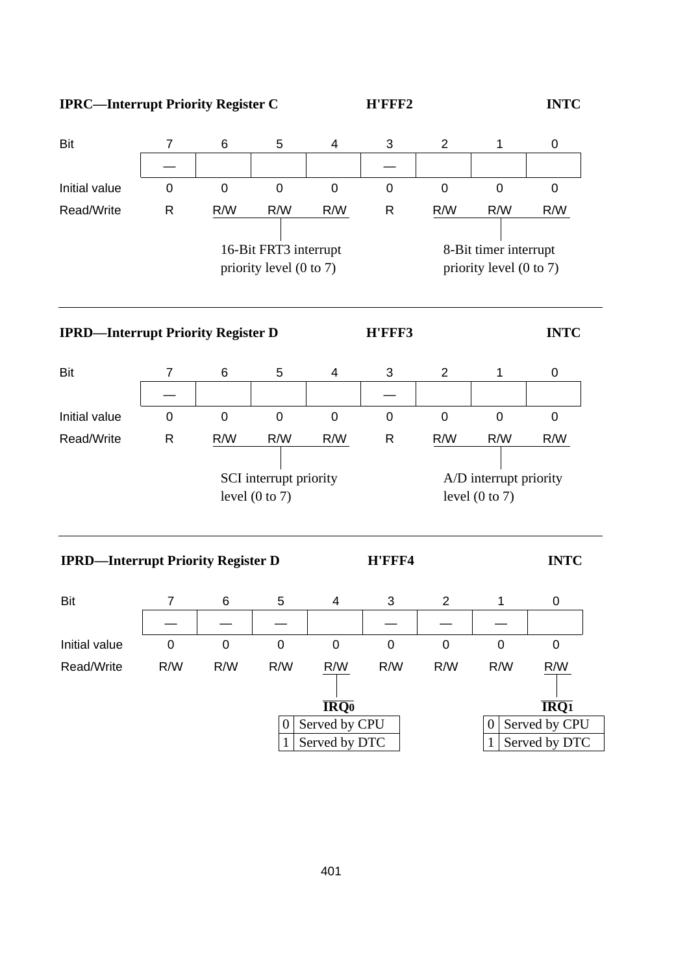

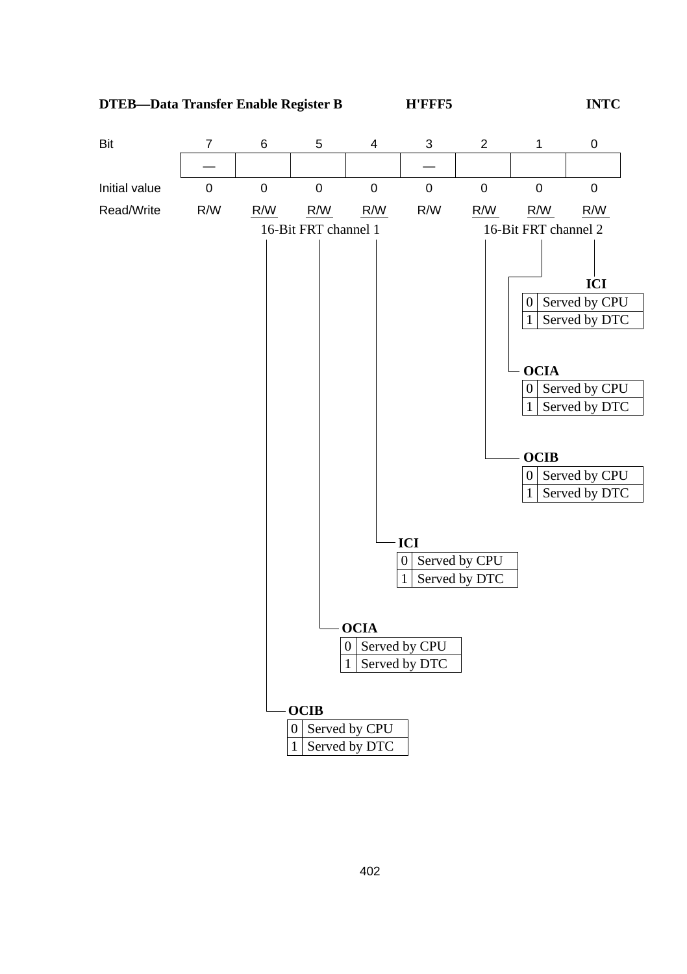**DTEB—Data Transfer Enable Register B H'FFF5 INTC**

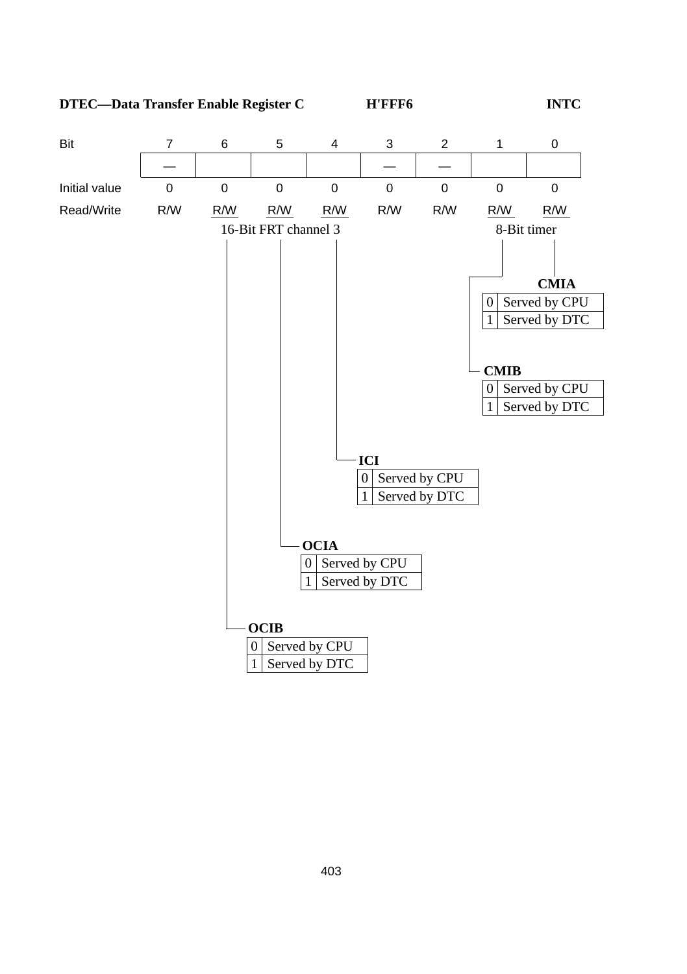**DTEC—Data Transfer Enable Register C H'FFF6 INTC**

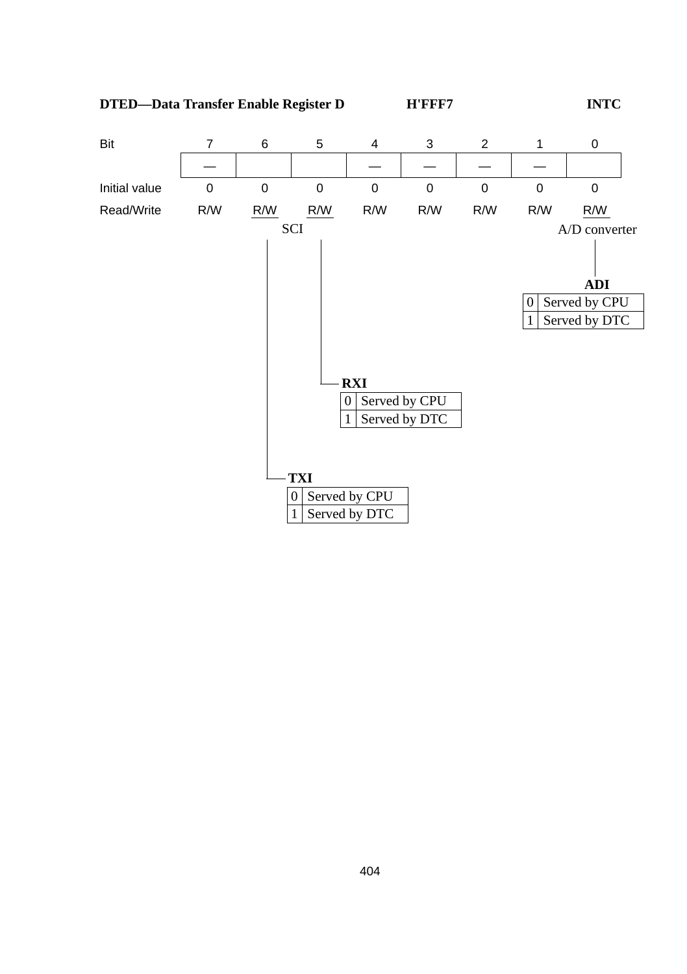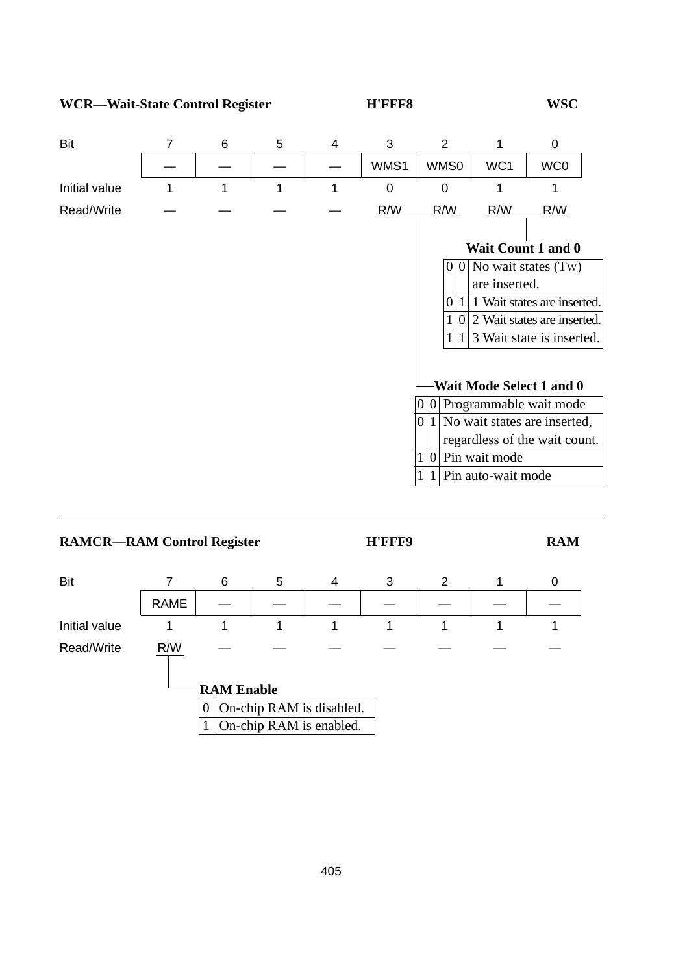**WCR—Wait-State Control Register H'FFF8 WSC**

| Bit           | 7 | 6 | 5 | 4 | 3    | 2                  |                    | 0                              |
|---------------|---|---|---|---|------|--------------------|--------------------|--------------------------------|
|               |   |   |   |   | WMS1 | WMS0               | WC1                | WC0                            |
| Initial value | 1 |   | 1 | 1 | 0    | 0                  |                    |                                |
| Read/Write    |   |   |   |   | R/W  | R/W                | R/W                | R/W                            |
|               |   |   |   |   |      |                    |                    |                                |
|               |   |   |   |   |      |                    |                    | Wait Count 1 and 0             |
|               |   |   |   |   |      |                    |                    | $ 0 0 $ No wait states (Tw)    |
|               |   |   |   |   |      |                    | are inserted.      |                                |
|               |   |   |   |   |      | $\Omega$           |                    | 1 Wait states are inserted.    |
|               |   |   |   |   |      | $\Omega$           |                    | 2 Wait states are inserted.    |
|               |   |   |   |   |      |                    |                    | 3 Wait state is inserted.      |
|               |   |   |   |   |      |                    |                    |                                |
|               |   |   |   |   |      |                    |                    | Wait Mode Select 1 and 0       |
|               |   |   |   |   |      |                    |                    | $ 0 0 $ Programmable wait mode |
|               |   |   |   |   |      | 0 <br>$\mathbf{1}$ |                    | No wait states are inserted,   |
|               |   |   |   |   |      |                    |                    | regardless of the wait count.  |
|               |   |   |   |   |      | $\Omega$           | Pin wait mode      |                                |
|               |   |   |   |   |      |                    | Pin auto-wait mode |                                |